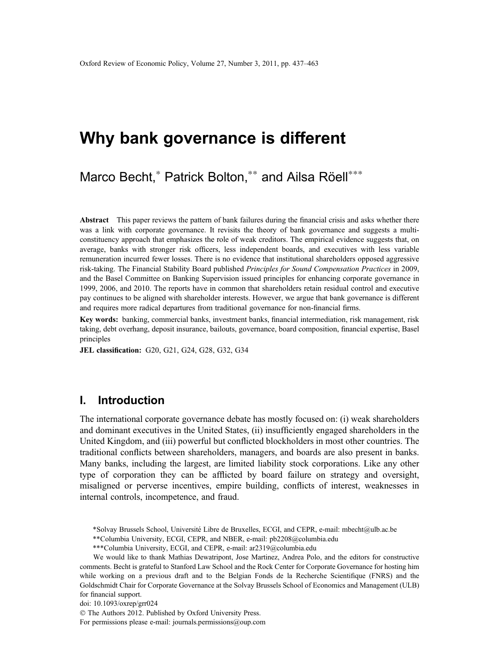# Why bank governance is different

Marco Becht,\* Patrick Bolton,\*\* and Ailsa Röell\*\*\*

Abstract This paper reviews the pattern of bank failures during the financial crisis and asks whether there was a link with corporate governance. It revisits the theory of bank governance and suggests a multiconstituency approach that emphasizes the role of weak creditors. The empirical evidence suggests that, on average, banks with stronger risk officers, less independent boards, and executives with less variable remuneration incurred fewer losses. There is no evidence that institutional shareholders opposed aggressive risk-taking. The Financial Stability Board published Principles for Sound Compensation Practices in 2009, and the Basel Committee on Banking Supervision issued principles for enhancing corporate governance in 1999, 2006, and 2010. The reports have in common that shareholders retain residual control and executive pay continues to be aligned with shareholder interests. However, we argue that bank governance is different and requires more radical departures from traditional governance for non-financial firms.

Key words: banking, commercial banks, investment banks, financial intermediation, risk management, risk taking, debt overhang, deposit insurance, bailouts, governance, board composition, financial expertise, Basel principles

JEL classification: G20, G21, G24, G28, G32, G34

### I. Introduction

The international corporate governance debate has mostly focused on: (i) weak shareholders and dominant executives in the United States, (ii) insufficiently engaged shareholders in the United Kingdom, and (iii) powerful but conflicted blockholders in most other countries. The traditional conflicts between shareholders, managers, and boards are also present in banks. Many banks, including the largest, are limited liability stock corporations. Like any other type of corporation they can be afflicted by board failure on strategy and oversight, misaligned or perverse incentives, empire building, conflicts of interest, weaknesses in internal controls, incompetence, and fraud.

For permissions please e-mail: journals.permissions@oup.com

<sup>\*</sup>Solvay Brussels School, Universite´ Libre de Bruxelles, ECGI, and CEPR, e-mail: mbecht@ulb.ac.be

<sup>\*\*</sup>Columbia University, ECGI, CEPR, and NBER, e-mail: pb2208@columbia.edu

<sup>\*\*\*</sup>Columbia University, ECGI, and CEPR, e-mail: ar2319@columbia.edu

We would like to thank Mathias Dewatripont, Jose Martinez, Andrea Polo, and the editors for constructive comments. Becht is grateful to Stanford Law School and the Rock Center for Corporate Governance for hosting him while working on a previous draft and to the Belgian Fonds de la Recherche Scientifique (FNRS) and the Goldschmidt Chair for Corporate Governance at the Solvay Brussels School of Economics and Management (ULB) for financial support.

doi: 10.1093/oxrep/grr024

<sup>-</sup> The Authors 2012. Published by Oxford University Press.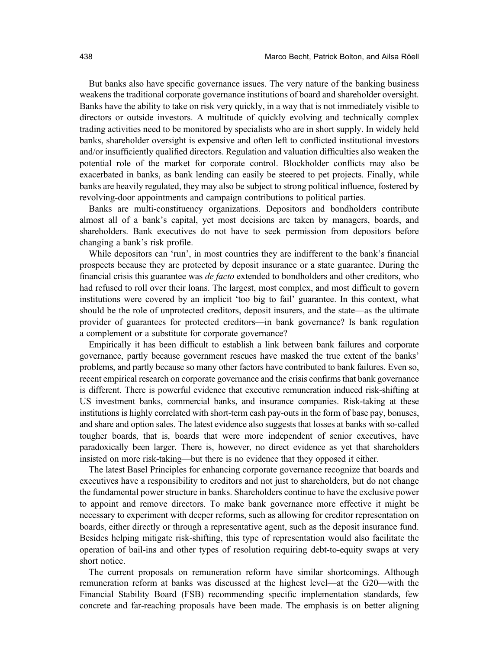But banks also have specific governance issues. The very nature of the banking business weakens the traditional corporate governance institutions of board and shareholder oversight. Banks have the ability to take on risk very quickly, in a way that is not immediately visible to directors or outside investors. A multitude of quickly evolving and technically complex trading activities need to be monitored by specialists who are in short supply. In widely held banks, shareholder oversight is expensive and often left to conflicted institutional investors and/or insufficiently qualified directors. Regulation and valuation difficulties also weaken the potential role of the market for corporate control. Blockholder conflicts may also be exacerbated in banks, as bank lending can easily be steered to pet projects. Finally, while banks are heavily regulated, they may also be subject to strong political influence, fostered by revolving-door appointments and campaign contributions to political parties.

Banks are multi-constituency organizations. Depositors and bondholders contribute almost all of a bank's capital, yet most decisions are taken by managers, boards, and shareholders. Bank executives do not have to seek permission from depositors before changing a bank's risk profile.

While depositors can 'run', in most countries they are indifferent to the bank's financial prospects because they are protected by deposit insurance or a state guarantee. During the financial crisis this guarantee was *de facto* extended to bondholders and other creditors, who had refused to roll over their loans. The largest, most complex, and most difficult to govern institutions were covered by an implicit 'too big to fail' guarantee. In this context, what should be the role of unprotected creditors, deposit insurers, and the state—as the ultimate provider of guarantees for protected creditors—in bank governance? Is bank regulation a complement or a substitute for corporate governance?

Empirically it has been difficult to establish a link between bank failures and corporate governance, partly because government rescues have masked the true extent of the banks' problems, and partly because so many other factors have contributed to bank failures. Even so, recent empirical research on corporate governance and the crisis confirms that bank governance is different. There is powerful evidence that executive remuneration induced risk-shifting at US investment banks, commercial banks, and insurance companies. Risk-taking at these institutions is highly correlated with short-term cash pay-outs in the form of base pay, bonuses, and share and option sales. The latest evidence also suggests that losses at banks with so-called tougher boards, that is, boards that were more independent of senior executives, have paradoxically been larger. There is, however, no direct evidence as yet that shareholders insisted on more risk-taking—but there is no evidence that they opposed it either.

The latest Basel Principles for enhancing corporate governance recognize that boards and executives have a responsibility to creditors and not just to shareholders, but do not change the fundamental power structure in banks. Shareholders continue to have the exclusive power to appoint and remove directors. To make bank governance more effective it might be necessary to experiment with deeper reforms, such as allowing for creditor representation on boards, either directly or through a representative agent, such as the deposit insurance fund. Besides helping mitigate risk-shifting, this type of representation would also facilitate the operation of bail-ins and other types of resolution requiring debt-to-equity swaps at very short notice.

The current proposals on remuneration reform have similar shortcomings. Although remuneration reform at banks was discussed at the highest level—at the G20—with the Financial Stability Board (FSB) recommending specific implementation standards, few concrete and far-reaching proposals have been made. The emphasis is on better aligning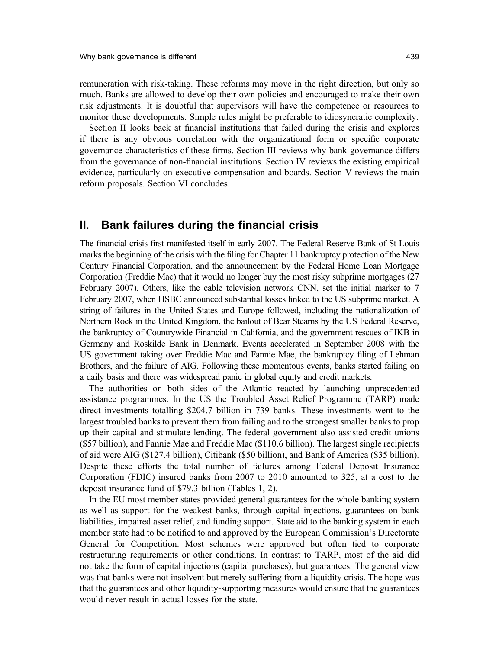remuneration with risk-taking. These reforms may move in the right direction, but only so much. Banks are allowed to develop their own policies and encouraged to make their own risk adjustments. It is doubtful that supervisors will have the competence or resources to monitor these developments. Simple rules might be preferable to idiosyncratic complexity.

Section II looks back at financial institutions that failed during the crisis and explores if there is any obvious correlation with the organizational form or specific corporate governance characteristics of these firms. Section III reviews why bank governance differs from the governance of non-financial institutions. Section IV reviews the existing empirical evidence, particularly on executive compensation and boards. Section V reviews the main reform proposals. Section VI concludes.

### II. Bank failures during the financial crisis

The financial crisis first manifested itself in early 2007. The Federal Reserve Bank of St Louis marks the beginning of the crisis with the filing for Chapter 11 bankruptcy protection of the New Century Financial Corporation, and the announcement by the Federal Home Loan Mortgage Corporation (Freddie Mac) that it would no longer buy the most risky subprime mortgages (27 February 2007). Others, like the cable television network CNN, set the initial marker to 7 February 2007, when HSBC announced substantial losses linked to the US subprime market. A string of failures in the United States and Europe followed, including the nationalization of Northern Rock in the United Kingdom, the bailout of Bear Stearns by the US Federal Reserve, the bankruptcy of Countrywide Financial in California, and the government rescues of IKB in Germany and Roskilde Bank in Denmark. Events accelerated in September 2008 with the US government taking over Freddie Mac and Fannie Mae, the bankruptcy filing of Lehman Brothers, and the failure of AIG. Following these momentous events, banks started failing on a daily basis and there was widespread panic in global equity and credit markets.

The authorities on both sides of the Atlantic reacted by launching unprecedented assistance programmes. In the US the Troubled Asset Relief Programme (TARP) made direct investments totalling \$204.7 billion in 739 banks. These investments went to the largest troubled banks to prevent them from failing and to the strongest smaller banks to prop up their capital and stimulate lending. The federal government also assisted credit unions (\$57 billion), and Fannie Mae and Freddie Mac (\$110.6 billion). The largest single recipients of aid were AIG (\$127.4 billion), Citibank (\$50 billion), and Bank of America (\$35 billion). Despite these efforts the total number of failures among Federal Deposit Insurance Corporation (FDIC) insured banks from 2007 to 2010 amounted to 325, at a cost to the deposit insurance fund of \$79.3 billion (Tables 1, 2).

In the EU most member states provided general guarantees for the whole banking system as well as support for the weakest banks, through capital injections, guarantees on bank liabilities, impaired asset relief, and funding support. State aid to the banking system in each member state had to be notified to and approved by the European Commission's Directorate General for Competition. Most schemes were approved but often tied to corporate restructuring requirements or other conditions. In contrast to TARP, most of the aid did not take the form of capital injections (capital purchases), but guarantees. The general view was that banks were not insolvent but merely suffering from a liquidity crisis. The hope was that the guarantees and other liquidity-supporting measures would ensure that the guarantees would never result in actual losses for the state.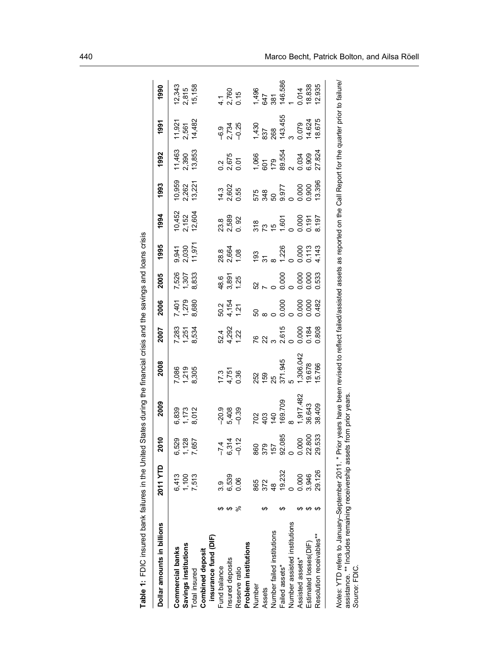| - האת האירוע האירוע האירוע האירוע האירוע האירוע האירוע האירוע האירוע האירוע האירוע האירוע האירוע האירוע האירוע ה                                                                                                                                                            |                                                             |                             |                              |                             |                         |                         |                         |                                                         |                                                       |                              |                                                          |                                              |                                  |
|-----------------------------------------------------------------------------------------------------------------------------------------------------------------------------------------------------------------------------------------------------------------------------|-------------------------------------------------------------|-----------------------------|------------------------------|-----------------------------|-------------------------|-------------------------|-------------------------|---------------------------------------------------------|-------------------------------------------------------|------------------------------|----------------------------------------------------------|----------------------------------------------|----------------------------------|
| Dollar amounts in billions                                                                                                                                                                                                                                                  | 111YTD                                                      | 2010                        | 2009                         | 2008                        | 2007                    | 2006                    | 2005                    | 1995                                                    | 1994                                                  | 1993                         | 1992                                                     | 1991                                         | 1990                             |
| Commercial banks                                                                                                                                                                                                                                                            | 6,413                                                       |                             |                              |                             |                         |                         |                         |                                                         |                                                       |                              |                                                          |                                              |                                  |
| Savings institutions                                                                                                                                                                                                                                                        |                                                             |                             |                              |                             |                         |                         |                         |                                                         |                                                       |                              |                                                          |                                              |                                  |
| Total insured                                                                                                                                                                                                                                                               | 7,513                                                       | 6,529<br>1,128<br>7,657     | 6,839<br>1,173<br>8,012      | 7,086<br>1,219<br>8,305     | 7,283<br>1,251<br>8,534 | 7,401<br>1,279<br>8,680 | 7,526<br>1,307<br>8,833 | 9,941<br>2,030<br>11,971                                | 10,452<br>2,152<br>12,604                             | 10,959<br>2,262<br>13,221    | $\begin{array}{c} 11,463 \\ 2,390 \\ 13,853 \end{array}$ | 11,921<br>2,561<br>14,482                    | $\frac{12,343}{2,815}$<br>15,158 |
| <b>Combined deposit</b>                                                                                                                                                                                                                                                     |                                                             |                             |                              |                             |                         |                         |                         |                                                         |                                                       |                              |                                                          |                                              |                                  |
| insurance fund (DIF)                                                                                                                                                                                                                                                        |                                                             |                             |                              |                             |                         |                         |                         |                                                         |                                                       |                              |                                                          |                                              |                                  |
| Fund balance                                                                                                                                                                                                                                                                |                                                             |                             |                              |                             |                         |                         |                         |                                                         |                                                       |                              |                                                          |                                              |                                  |
| Insured deposits                                                                                                                                                                                                                                                            | $3.\overline{9}$<br>$6.\overline{539}$<br>$0.\overline{06}$ | $-7.4$<br>6,314<br>-0.12    | $-20.9$<br>5,408<br>$-0.39$  | $17.3$<br>$4,751$<br>$0.36$ | 52.4<br>4,292<br>1.22   | 50.2<br>4,154<br>1.21   | 48.6<br>3,891<br>1.25   | 28.8<br>2.664<br>1.08                                   | 23.8<br>2.589<br>0.92                                 | $\frac{14.3}{2,602}$         | 0.2<br>2.675<br>0.01                                     | $-6.9$<br>2,734<br>-0.25                     | $4.1$<br>$2.760$<br>$0.15$       |
| Reserve ratio                                                                                                                                                                                                                                                               |                                                             |                             |                              |                             |                         |                         |                         |                                                         |                                                       |                              |                                                          |                                              |                                  |
| Problem institutions                                                                                                                                                                                                                                                        |                                                             |                             |                              |                             |                         |                         |                         |                                                         |                                                       |                              |                                                          |                                              |                                  |
| Number                                                                                                                                                                                                                                                                      |                                                             |                             |                              |                             |                         |                         |                         |                                                         |                                                       |                              |                                                          |                                              |                                  |
| Assets                                                                                                                                                                                                                                                                      |                                                             |                             |                              |                             | <b>623</b>              |                         | $\frac{2}{5}$           | $\frac{3}{2}$ $\frac{1}{2}$ $\frac{3}{2}$ $\frac{1}{2}$ |                                                       |                              |                                                          |                                              |                                  |
| Number failed institutions                                                                                                                                                                                                                                                  |                                                             |                             |                              |                             |                         |                         |                         |                                                         |                                                       |                              |                                                          |                                              |                                  |
| Failed assets*                                                                                                                                                                                                                                                              | 865<br>372<br>49.232<br>0<br>0                              | 860<br>379<br>157<br>92.085 | 702<br>403<br>140<br>169.709 | 252<br>159<br>371.945       | 2.615                   | 0.000                   | 0.000                   |                                                         | $\begin{array}{c} 318 \\ 73 \\ 1601 \\ 0 \end{array}$ | 575<br>536<br>53577<br>53577 | $\frac{1,066}{179}$<br>$\frac{179}{89.554}$              | $\frac{1,430}{837}$<br>$\frac{268}{143.455}$ | 1,496<br>647<br>381<br>146.586   |
| Number assisted institutions                                                                                                                                                                                                                                                |                                                             |                             |                              |                             |                         |                         |                         | 1.226                                                   |                                                       |                              |                                                          |                                              |                                  |
| Assisted assets*                                                                                                                                                                                                                                                            | 0.000<br>3.946                                              |                             | 1,917.482                    | 1,306.042                   |                         |                         | 0.000                   |                                                         |                                                       |                              |                                                          |                                              | 0.014                            |
| Estimated losses(DIF)                                                                                                                                                                                                                                                       |                                                             |                             | 36.643                       | 19.678                      | 0.000<br>0.184          | 0.000                   | 0.000                   | 0.000<br>0.113                                          | 0.000<br>0.191                                        | 0.000                        | 0.034                                                    | 0.079<br>14.624                              | 18.838                           |
| Resolution receivables**                                                                                                                                                                                                                                                    | 29.126                                                      | 0.000<br>22.800<br>29.533   | 38.409                       | 15.766                      | 0.808                   | 0.482                   | 0.533                   | 4.143                                                   | 8.197                                                 | 13.396                       | 27.824                                                   | 18.675                                       | 12.935                           |
| Notes: YTD refers to January–September 2011. * Prior years have been revised to reflect failed/assisted assets as reported on the Call Report for the quarter prior to failure/<br>assistance. ** Includes remaining receivership assets from prior years.<br>Source: FDIC. |                                                             |                             |                              |                             |                         |                         |                         |                                                         |                                                       |                              |                                                          |                                              |                                  |

Table 1: FDIC insured bank failures in the United States during the financial crisis and the savings and loans crisis Table 1: FDIC insured bank failures in the United States during the financial crisis and the savings and loans crisis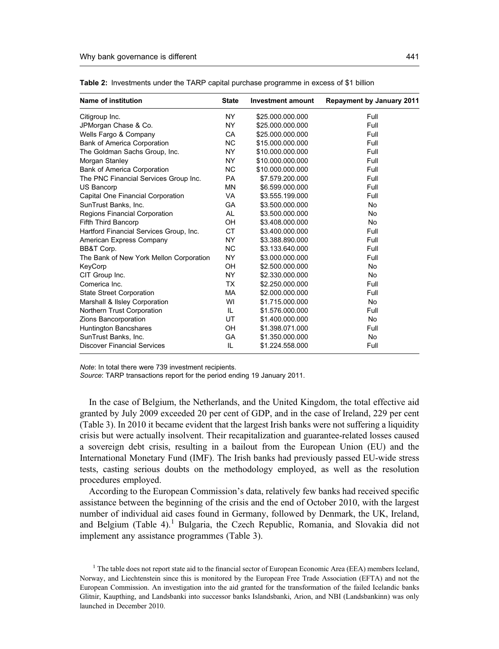| Name of institution                     | <b>State</b> | <b>Investment amount</b> | <b>Repayment by January 2011</b> |
|-----------------------------------------|--------------|--------------------------|----------------------------------|
| Citigroup Inc.                          | <b>NY</b>    | \$25,000,000,000         | Full                             |
| JPMorgan Chase & Co.                    | <b>NY</b>    | \$25,000,000,000         | Full                             |
| Wells Fargo & Company                   | CA           | \$25.000.000.000         | Full                             |
| Bank of America Corporation             | <b>NC</b>    | \$15.000.000.000         | Full                             |
| The Goldman Sachs Group, Inc.           | <b>NY</b>    | \$10.000.000.000         | Full                             |
| Morgan Stanley                          | <b>NY</b>    | \$10.000.000.000         | Full                             |
| <b>Bank of America Corporation</b>      | <b>NC</b>    | \$10.000.000.000         | Full                             |
| The PNC Financial Services Group Inc.   | <b>PA</b>    | \$7.579.200.000          | Full                             |
| US Bancorp                              | MN           | \$6.599.000.000          | Full                             |
| Capital One Financial Corporation       | VA.          | \$3.555.199.000          | Full                             |
| SunTrust Banks, Inc.                    | <b>GA</b>    | \$3.500.000.000          | No                               |
| Regions Financial Corporation           | AL           | \$3.500.000.000          | No                               |
| Fifth Third Bancorp                     | OН           | \$3.408.000.000          | No                               |
| Hartford Financial Services Group, Inc. | <b>CT</b>    | \$3.400.000.000          | Full                             |
| American Express Company                | <b>NY</b>    | \$3.388.890.000          | Full                             |
| BB&T Corp.                              | <b>NC</b>    | \$3.133.640.000          | Full                             |
| The Bank of New York Mellon Corporation | <b>NY</b>    | \$3.000.000.000          | Full                             |
| KeyCorp                                 | OH           | \$2.500.000.000          | No                               |
| CIT Group Inc.                          | <b>NY</b>    | \$2.330.000.000          | No                               |
| Comerica Inc.                           | <b>TX</b>    | \$2.250.000.000          | Full                             |
| <b>State Street Corporation</b>         | MA           | \$2.000.000.000          | Full                             |
| Marshall & Ilsley Corporation           | WI           | \$1.715.000.000          | <b>No</b>                        |
| Northern Trust Corporation              | IL           | \$1.576.000.000          | Full                             |
| Zions Bancorporation                    | UT           | \$1.400.000.000          | <b>No</b>                        |
| <b>Huntington Bancshares</b>            | OH           | \$1.398.071.000          | Full                             |
| SunTrust Banks, Inc.                    | GA           | \$1.350.000.000          | No                               |
| <b>Discover Financial Services</b>      | IL           | \$1.224.558.000          | Full                             |

Table 2: Investments under the TARP capital purchase programme in excess of \$1 billion

Note: In total there were 739 investment recipients.

Source: TARP transactions report for the period ending 19 January 2011.

In the case of Belgium, the Netherlands, and the United Kingdom, the total effective aid granted by July 2009 exceeded 20 per cent of GDP, and in the case of Ireland, 229 per cent (Table 3). In 2010 it became evident that the largest Irish banks were not suffering a liquidity crisis but were actually insolvent. Their recapitalization and guarantee-related losses caused a sovereign debt crisis, resulting in a bailout from the European Union (EU) and the International Monetary Fund (IMF). The Irish banks had previously passed EU-wide stress tests, casting serious doubts on the methodology employed, as well as the resolution procedures employed.

According to the European Commission's data, relatively few banks had received specific assistance between the beginning of the crisis and the end of October 2010, with the largest number of individual aid cases found in Germany, followed by Denmark, the UK, Ireland, and Belgium (Table 4).<sup>1</sup> Bulgaria, the Czech Republic, Romania, and Slovakia did not implement any assistance programmes (Table 3).

<sup>1</sup> The table does not report state aid to the financial sector of European Economic Area (EEA) members Iceland, Norway, and Liechtenstein since this is monitored by the European Free Trade Association (EFTA) and not the European Commission. An investigation into the aid granted for the transformation of the failed Icelandic banks Glitnir, Kaupthing, and Landsbanki into successor banks Islandsbanki, Arion, and NBI (Landsbankinn) was only launched in December 2010.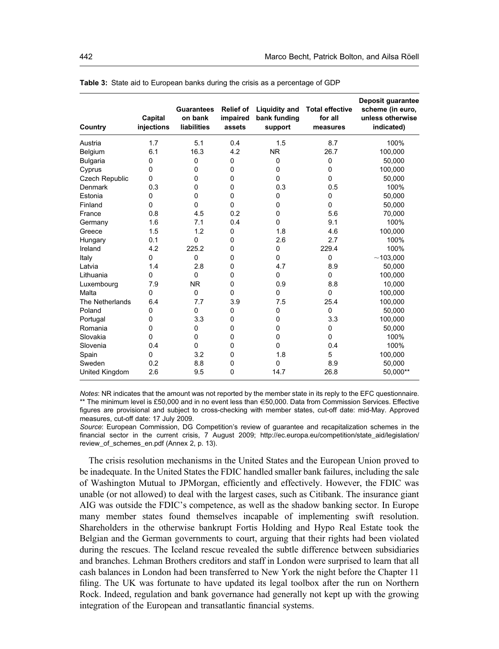| Country         | Capital<br>injections | <b>Guarantees</b><br>on bank<br>liabilities | <b>Relief of</b><br>impaired<br>assets | Liquidity and<br>bank funding<br>support | <b>Total effective</b><br>for all<br>measures | Deposit guarantee<br>scheme (in euro,<br>unless otherwise<br>indicated) |
|-----------------|-----------------------|---------------------------------------------|----------------------------------------|------------------------------------------|-----------------------------------------------|-------------------------------------------------------------------------|
| Austria         | 1.7                   | 5.1                                         | 0.4                                    | 1.5                                      | 8.7                                           | 100%                                                                    |
| Belgium         | 6.1                   | 16.3                                        | 4.2                                    | N <sub>R</sub>                           | 26.7                                          | 100,000                                                                 |
| <b>Bulgaria</b> | 0                     | 0                                           | 0                                      | 0                                        | $\mathbf 0$                                   | 50,000                                                                  |
| Cyprus          | 0                     | 0                                           | 0                                      | 0                                        | 0                                             | 100,000                                                                 |
| Czech Republic  | 0                     | $\Omega$                                    | 0                                      | $\Omega$                                 | $\Omega$                                      | 50,000                                                                  |
| Denmark         | 0.3                   | $\Omega$                                    | 0                                      | 0.3                                      | 0.5                                           | 100%                                                                    |
| Estonia         | 0                     | $\mathbf{0}$                                | 0                                      | 0                                        | 0                                             | 50,000                                                                  |
| Finland         | 0                     | $\Omega$                                    | $\Omega$                               | 0                                        | $\Omega$                                      | 50,000                                                                  |
| France          | 0.8                   | 4.5                                         | 0.2                                    | $\Omega$                                 | 5.6                                           | 70,000                                                                  |
| Germany         | 1.6                   | 7.1                                         | 0.4                                    | 0                                        | 9.1                                           | 100%                                                                    |
| Greece          | 1.5                   | 1.2                                         | 0                                      | 1.8                                      | 4.6                                           | 100,000                                                                 |
| Hungary         | 0.1                   | 0                                           | 0                                      | 2.6                                      | 2.7                                           | 100%                                                                    |
| Ireland         | 4.2                   | 225.2                                       | 0                                      | 0                                        | 229.4                                         | 100%                                                                    |
| Italy           | 0                     | $\mathbf{0}$                                | 0                                      | $\Omega$                                 | $\mathbf 0$                                   | ~103,000                                                                |
| Latvia          | 1.4                   | 2.8                                         | 0                                      | 4.7                                      | 8.9                                           | 50,000                                                                  |
| Lithuania       | 0                     | $\mathbf{0}$                                | 0                                      | 0                                        | $\Omega$                                      | 100,000                                                                 |
| Luxembourg      | 7.9                   | NR.                                         | 0                                      | 0.9                                      | 8.8                                           | 10,000                                                                  |
| Malta           | 0                     | $\Omega$                                    | $\Omega$                               | $\Omega$                                 | $\mathbf{0}$                                  | 100,000                                                                 |
| The Netherlands | 6.4                   | 7.7                                         | 3.9                                    | 7.5                                      | 25.4                                          | 100,000                                                                 |
| Poland          | 0                     | $\mathbf{0}$                                | $\Omega$                               | 0                                        | $\Omega$                                      | 50,000                                                                  |
| Portugal        | 0                     | 3.3                                         | 0                                      | $\Omega$                                 | 3.3                                           | 100,000                                                                 |
| Romania         | 0                     | $\Omega$                                    | 0                                      | 0                                        | 0                                             | 50,000                                                                  |
| Slovakia        | 0                     | 0                                           | 0                                      | 0                                        | 0                                             | 100%                                                                    |
| Slovenia        | 0.4                   | $\Omega$                                    | 0                                      | O                                        | 0.4                                           | 100%                                                                    |
| Spain           | 0                     | 3.2                                         | 0                                      | 1.8                                      | 5                                             | 100,000                                                                 |
| Sweden          | 0.2                   | 8.8                                         | 0                                      | 0                                        | 8.9                                           | 50,000                                                                  |
| United Kingdom  | 2.6                   | 9.5                                         | 0                                      | 14.7                                     | 26.8                                          | 50,000**                                                                |

Table 3: State aid to European banks during the crisis as a percentage of GDP

Notes: NR indicates that the amount was not reported by the member state in its reply to the EFC questionnaire. \*\* The minimum level is £50,000 and in no event less than €50,000. Data from Commission Services. Effective figures are provisional and subject to cross-checking with member states, cut-off date: mid-May. Approved measures, cut-off date: 17 July 2009.

Source: European Commission, DG Competition's review of guarantee and recapitalization schemes in the financial sector in the current crisis, 7 August 2009; [http://ec.europa.eu/competition/state\\_aid/legislation/](http://ec.europa.eu/competition/state_aid/legislation/review_of_schemes_en.pdf) [review\\_of\\_schemes\\_en.pdf](http://ec.europa.eu/competition/state_aid/legislation/review_of_schemes_en.pdf) (Annex 2, p. 13).

The crisis resolution mechanisms in the United States and the European Union proved to be inadequate. In the United States the FDIC handled smaller bank failures, including the sale of Washington Mutual to JPMorgan, efficiently and effectively. However, the FDIC was unable (or not allowed) to deal with the largest cases, such as Citibank. The insurance giant AIG was outside the FDIC's competence, as well as the shadow banking sector. In Europe many member states found themselves incapable of implementing swift resolution. Shareholders in the otherwise bankrupt Fortis Holding and Hypo Real Estate took the Belgian and the German governments to court, arguing that their rights had been violated during the rescues. The Iceland rescue revealed the subtle difference between subsidiaries and branches. Lehman Brothers creditors and staff in London were surprised to learn that all cash balances in London had been transferred to New York the night before the Chapter 11 filing. The UK was fortunate to have updated its legal toolbox after the run on Northern Rock. Indeed, regulation and bank governance had generally not kept up with the growing integration of the European and transatlantic financial systems.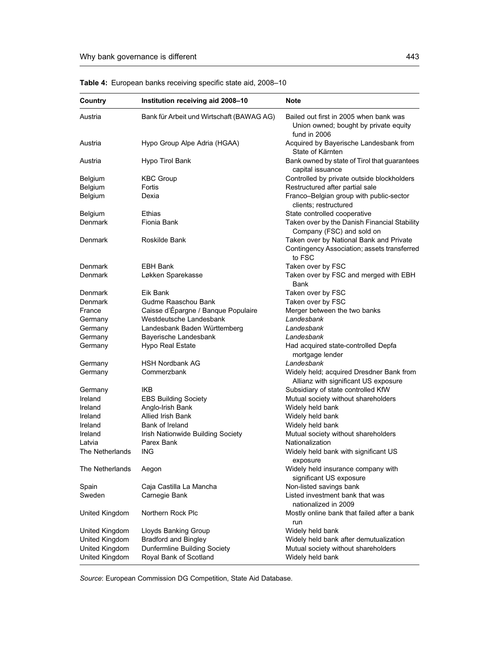| Country         | Institution receiving aid 2008-10         | <b>Note</b>                                                                                      |
|-----------------|-------------------------------------------|--------------------------------------------------------------------------------------------------|
| Austria         | Bank für Arbeit und Wirtschaft (BAWAG AG) | Bailed out first in 2005 when bank was<br>Union owned; bought by private equity<br>fund in 2006  |
| Austria         | Hypo Group Alpe Adria (HGAA)              | Acquired by Bayerische Landesbank from<br>State of Kärnten                                       |
| Austria         | Hypo Tirol Bank                           | Bank owned by state of Tirol that guarantees<br>capital issuance                                 |
| Belgium         | <b>KBC Group</b>                          | Controlled by private outside blockholders                                                       |
| Belgium         | Fortis                                    | Restructured after partial sale                                                                  |
| Belgium         | Dexia                                     | Franco-Belgian group with public-sector<br>clients; restructured                                 |
| Belgium         | Ethias                                    | State controlled cooperative                                                                     |
| Denmark         | Fionia Bank                               | Taken over by the Danish Financial Stability<br>Company (FSC) and sold on                        |
| Denmark         | Roskilde Bank                             | Taken over by National Bank and Private<br>Contingency Association; assets transferred<br>to FSC |
| Denmark         | <b>EBH Bank</b>                           | Taken over by FSC                                                                                |
| Denmark         | Løkken Sparekasse                         | Taken over by FSC and merged with EBH<br>Bank                                                    |
| Denmark         | Eik Bank                                  | Taken over by FSC                                                                                |
| Denmark         | Gudme Raaschou Bank                       | Taken over by FSC                                                                                |
| France          | Caisse d'Épargne / Banque Populaire       | Merger between the two banks                                                                     |
| Germany         | Westdeutsche Landesbank                   | Landesbank                                                                                       |
| Germany         | Landesbank Baden Württemberg              | Landesbank                                                                                       |
| Germany         | Bayerische Landesbank                     | Landesbank                                                                                       |
| Germany         | Hypo Real Estate                          | Had acquired state-controlled Depfa<br>mortgage lender                                           |
| Germany         | <b>HSH Nordbank AG</b>                    | Landesbank                                                                                       |
| Germany         | Commerzbank                               | Widely held; acquired Dresdner Bank from<br>Allianz with significant US exposure                 |
| Germany         | <b>IKB</b>                                | Subsidiary of state controlled KfW                                                               |
| Ireland         | <b>EBS Building Society</b>               | Mutual society without shareholders                                                              |
| Ireland         | Anglo-Irish Bank                          | Widely held bank                                                                                 |
| Ireland         | Allied Irish Bank                         | Widely held bank                                                                                 |
| Ireland         | Bank of Ireland                           | Widely held bank                                                                                 |
| Ireland         | Irish Nationwide Building Society         | Mutual society without shareholders                                                              |
| Latvia          | Parex Bank                                | Nationalization                                                                                  |
| The Netherlands | ING                                       | Widely held bank with significant US<br>exposure                                                 |
| The Netherlands | Aegon                                     | Widely held insurance company with<br>significant US exposure                                    |
| Spain           | Caja Castilla La Mancha                   | Non-listed savings bank                                                                          |
| Sweden          | Carnegie Bank                             | Listed investment bank that was<br>nationalized in 2009                                          |
| United Kingdom  | Northern Rock Plc                         | Mostly online bank that failed after a bank<br>run                                               |
| United Kingdom  | Lloyds Banking Group                      | Widely held bank                                                                                 |
| United Kingdom  | <b>Bradford and Bingley</b>               | Widely held bank after demutualization                                                           |
| United Kingdom  | Dunfermline Building Society              | Mutual society without shareholders                                                              |
| United Kingdom  | Royal Bank of Scotland                    | Widely held bank                                                                                 |

Table 4: European banks receiving specific state aid, 2008–10

Source: European Commission DG Competition, State Aid Database.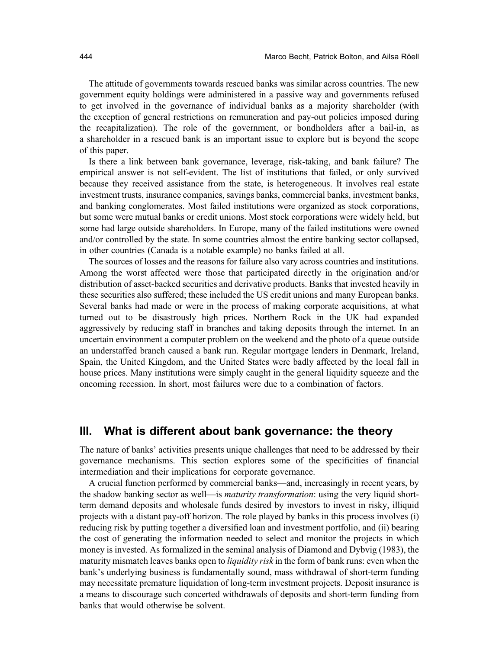The attitude of governments towards rescued banks was similar across countries. The new government equity holdings were administered in a passive way and governments refused to get involved in the governance of individual banks as a majority shareholder (with the exception of general restrictions on remuneration and pay-out policies imposed during the recapitalization). The role of the government, or bondholders after a bail-in, as a shareholder in a rescued bank is an important issue to explore but is beyond the scope of this paper.

Is there a link between bank governance, leverage, risk-taking, and bank failure? The empirical answer is not self-evident. The list of institutions that failed, or only survived because they received assistance from the state, is heterogeneous. It involves real estate investment trusts, insurance companies, savings banks, commercial banks, investment banks, and banking conglomerates. Most failed institutions were organized as stock corporations, but some were mutual banks or credit unions. Most stock corporations were widely held, but some had large outside shareholders. In Europe, many of the failed institutions were owned and/or controlled by the state. In some countries almost the entire banking sector collapsed, in other countries (Canada is a notable example) no banks failed at all.

The sources of losses and the reasons for failure also vary across countries and institutions. Among the worst affected were those that participated directly in the origination and/or distribution of asset-backed securities and derivative products. Banks that invested heavily in these securities also suffered; these included the US credit unions and many European banks. Several banks had made or were in the process of making corporate acquisitions, at what turned out to be disastrously high prices. Northern Rock in the UK had expanded aggressively by reducing staff in branches and taking deposits through the internet. In an uncertain environment a computer problem on the weekend and the photo of a queue outside an understaffed branch caused a bank run. Regular mortgage lenders in Denmark, Ireland, Spain, the United Kingdom, and the United States were badly affected by the local fall in house prices. Many institutions were simply caught in the general liquidity squeeze and the oncoming recession. In short, most failures were due to a combination of factors.

### III. What is different about bank governance: the theory

The nature of banks' activities presents unique challenges that need to be addressed by their governance mechanisms. This section explores some of the specificities of financial intermediation and their implications for corporate governance.

A crucial function performed by commercial banks—and, increasingly in recent years, by the shadow banking sector as well—is *maturity transformation*: using the very liquid shortterm demand deposits and wholesale funds desired by investors to invest in risky, illiquid projects with a distant pay-off horizon. The role played by banks in this process involves (i) reducing risk by putting together a diversified loan and investment portfolio, and (ii) bearing the cost of generating the information needed to select and monitor the projects in which money is invested. As formalized in the seminal analysis of Diamond and Dybvig (1983), the maturity mismatch leaves banks open to *liquidity risk* in the form of bank runs: even when the bank's underlying business is fundamentally sound, mass withdrawal of short-term funding may necessitate premature liquidation of long-term investment projects. Deposit insurance is a means to discourage such concerted withdrawals of deposits and short-term funding from banks that would otherwise be solvent.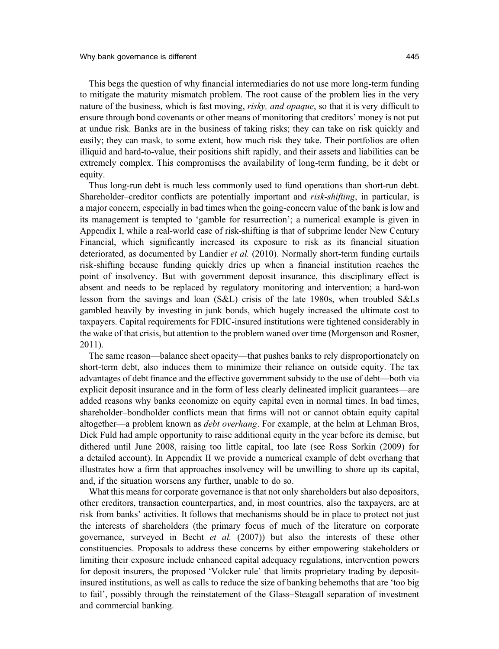This begs the question of why financial intermediaries do not use more long-term funding to mitigate the maturity mismatch problem. The root cause of the problem lies in the very nature of the business, which is fast moving, *risky, and opaque*, so that it is very difficult to ensure through bond covenants or other means of monitoring that creditors' money is not put at undue risk. Banks are in the business of taking risks; they can take on risk quickly and easily; they can mask, to some extent, how much risk they take. Their portfolios are often illiquid and hard-to-value, their positions shift rapidly, and their assets and liabilities can be extremely complex. This compromises the availability of long-term funding, be it debt or equity.

Thus long-run debt is much less commonly used to fund operations than short-run debt. Shareholder–creditor conflicts are potentially important and risk-shifting, in particular, is a major concern, especially in bad times when the going-concern value of the bank is low and its management is tempted to 'gamble for resurrection'; a numerical example is given in Appendix I, while a real-world case of risk-shifting is that of subprime lender New Century Financial, which significantly increased its exposure to risk as its financial situation deteriorated, as documented by Landier et al. (2010). Normally short-term funding curtails risk-shifting because funding quickly dries up when a financial institution reaches the point of insolvency. But with government deposit insurance, this disciplinary effect is absent and needs to be replaced by regulatory monitoring and intervention; a hard-won lesson from the savings and loan (S&L) crisis of the late 1980s, when troubled S&Ls gambled heavily by investing in junk bonds, which hugely increased the ultimate cost to taxpayers. Capital requirements for FDIC-insured institutions were tightened considerably in the wake of that crisis, but attention to the problem waned over time (Morgenson and Rosner, 2011).

The same reason—balance sheet opacity—that pushes banks to rely disproportionately on short-term debt, also induces them to minimize their reliance on outside equity. The tax advantages of debt finance and the effective government subsidy to the use of debt—both via explicit deposit insurance and in the form of less clearly delineated implicit guarantees—are added reasons why banks economize on equity capital even in normal times. In bad times, shareholder–bondholder conflicts mean that firms will not or cannot obtain equity capital altogether—a problem known as debt overhang. For example, at the helm at Lehman Bros, Dick Fuld had ample opportunity to raise additional equity in the year before its demise, but dithered until June 2008, raising too little capital, too late (see Ross Sorkin (2009) for a detailed account). In Appendix II we provide a numerical example of debt overhang that illustrates how a firm that approaches insolvency will be unwilling to shore up its capital, and, if the situation worsens any further, unable to do so.

What this means for corporate governance is that not only shareholders but also depositors, other creditors, transaction counterparties, and, in most countries, also the taxpayers, are at risk from banks' activities. It follows that mechanisms should be in place to protect not just the interests of shareholders (the primary focus of much of the literature on corporate governance, surveyed in Becht et al. (2007)) but also the interests of these other constituencies. Proposals to address these concerns by either empowering stakeholders or limiting their exposure include enhanced capital adequacy regulations, intervention powers for deposit insurers, the proposed 'Volcker rule' that limits proprietary trading by depositinsured institutions, as well as calls to reduce the size of banking behemoths that are 'too big to fail', possibly through the reinstatement of the Glass–Steagall separation of investment and commercial banking.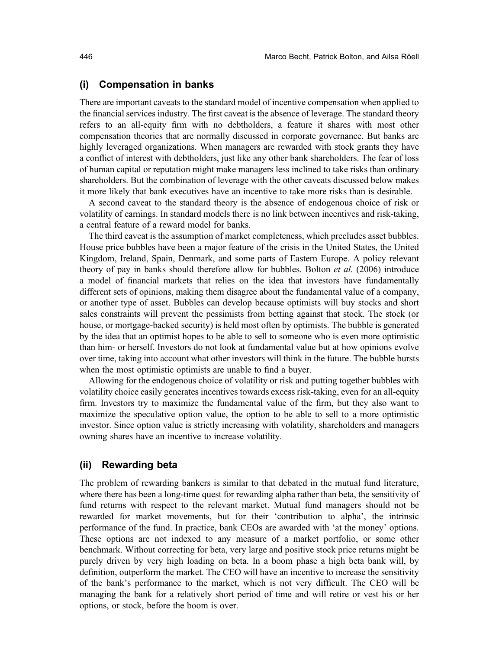#### (i) Compensation in banks

There are important caveats to the standard model of incentive compensation when applied to the financial services industry. The first caveat is the absence of leverage. The standard theory refers to an all-equity firm with no debtholders, a feature it shares with most other compensation theories that are normally discussed in corporate governance. But banks are highly leveraged organizations. When managers are rewarded with stock grants they have a conflict of interest with debtholders, just like any other bank shareholders. The fear of loss of human capital or reputation might make managers less inclined to take risks than ordinary shareholders. But the combination of leverage with the other caveats discussed below makes it more likely that bank executives have an incentive to take more risks than is desirable.

A second caveat to the standard theory is the absence of endogenous choice of risk or volatility of earnings. In standard models there is no link between incentives and risk-taking, a central feature of a reward model for banks.

The third caveat is the assumption of market completeness, which precludes asset bubbles. House price bubbles have been a major feature of the crisis in the United States, the United Kingdom, Ireland, Spain, Denmark, and some parts of Eastern Europe. A policy relevant theory of pay in banks should therefore allow for bubbles. Bolton et al. (2006) introduce a model of financial markets that relies on the idea that investors have fundamentally different sets of opinions, making them disagree about the fundamental value of a company, or another type of asset. Bubbles can develop because optimists will buy stocks and short sales constraints will prevent the pessimists from betting against that stock. The stock (or house, or mortgage-backed security) is held most often by optimists. The bubble is generated by the idea that an optimist hopes to be able to sell to someone who is even more optimistic than him- or herself. Investors do not look at fundamental value but at how opinions evolve over time, taking into account what other investors will think in the future. The bubble bursts when the most optimistic optimists are unable to find a buyer.

Allowing for the endogenous choice of volatility or risk and putting together bubbles with volatility choice easily generates incentives towards excess risk-taking, even for an all-equity firm. Investors try to maximize the fundamental value of the firm, but they also want to maximize the speculative option value, the option to be able to sell to a more optimistic investor. Since option value is strictly increasing with volatility, shareholders and managers owning shares have an incentive to increase volatility.

#### (ii) Rewarding beta

The problem of rewarding bankers is similar to that debated in the mutual fund literature, where there has been a long-time quest for rewarding alpha rather than beta, the sensitivity of fund returns with respect to the relevant market. Mutual fund managers should not be rewarded for market movements, but for their 'contribution to alpha', the intrinsic performance of the fund. In practice, bank CEOs are awarded with 'at the money' options. These options are not indexed to any measure of a market portfolio, or some other benchmark. Without correcting for beta, very large and positive stock price returns might be purely driven by very high loading on beta. In a boom phase a high beta bank will, by definition, outperform the market. The CEO will have an incentive to increase the sensitivity of the bank's performance to the market, which is not very difficult. The CEO will be managing the bank for a relatively short period of time and will retire or vest his or her options, or stock, before the boom is over.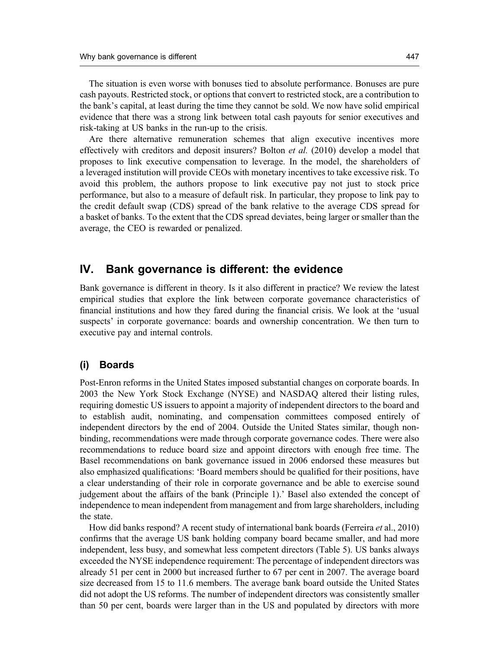The situation is even worse with bonuses tied to absolute performance. Bonuses are pure cash payouts. Restricted stock, or options that convert to restricted stock, are a contribution to the bank's capital, at least during the time they cannot be sold. We now have solid empirical evidence that there was a strong link between total cash payouts for senior executives and risk-taking at US banks in the run-up to the crisis.

Are there alternative remuneration schemes that align executive incentives more effectively with creditors and deposit insurers? Bolton et al. (2010) develop a model that proposes to link executive compensation to leverage. In the model, the shareholders of a leveraged institution will provide CEOs with monetary incentives to take excessive risk. To avoid this problem, the authors propose to link executive pay not just to stock price performance, but also to a measure of default risk. In particular, they propose to link pay to the credit default swap (CDS) spread of the bank relative to the average CDS spread for a basket of banks. To the extent that the CDS spread deviates, being larger or smaller than the average, the CEO is rewarded or penalized.

### IV. Bank governance is different: the evidence

Bank governance is different in theory. Is it also different in practice? We review the latest empirical studies that explore the link between corporate governance characteristics of financial institutions and how they fared during the financial crisis. We look at the 'usual suspects' in corporate governance: boards and ownership concentration. We then turn to executive pay and internal controls.

### (i) Boards

Post-Enron reforms in the United States imposed substantial changes on corporate boards. In 2003 the New York Stock Exchange (NYSE) and NASDAQ altered their listing rules, requiring domestic US issuers to appoint a majority of independent directors to the board and to establish audit, nominating, and compensation committees composed entirely of independent directors by the end of 2004. Outside the United States similar, though nonbinding, recommendations were made through corporate governance codes. There were also recommendations to reduce board size and appoint directors with enough free time. The Basel recommendations on bank governance issued in 2006 endorsed these measures but also emphasized qualifications: 'Board members should be qualified for their positions, have a clear understanding of their role in corporate governance and be able to exercise sound judgement about the affairs of the bank (Principle 1).' Basel also extended the concept of independence to mean independent from management and from large shareholders, including the state.

How did banks respond? A recent study of international bank boards (Ferreira et al., 2010) confirms that the average US bank holding company board became smaller, and had more independent, less busy, and somewhat less competent directors (Table 5). US banks always exceeded the NYSE independence requirement: The percentage of independent directors was already 51 per cent in 2000 but increased further to 67 per cent in 2007. The average board size decreased from 15 to 11.6 members. The average bank board outside the United States did not adopt the US reforms. The number of independent directors was consistently smaller than 50 per cent, boards were larger than in the US and populated by directors with more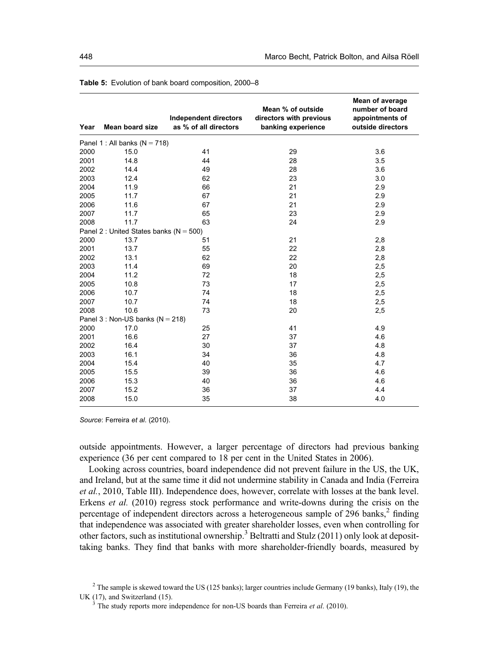| Year | <b>Mean board size</b>                      | <b>Independent directors</b><br>as % of all directors | Mean % of outside<br>directors with previous<br>banking experience | Mean of average<br>number of board<br>appointments of<br>outside directors |
|------|---------------------------------------------|-------------------------------------------------------|--------------------------------------------------------------------|----------------------------------------------------------------------------|
|      | Panel 1 : All banks ( $N = 718$ )           |                                                       |                                                                    |                                                                            |
| 2000 | 15.0                                        | 41                                                    | 29                                                                 | 3.6                                                                        |
| 2001 | 14.8                                        | 44                                                    | 28                                                                 | 3.5                                                                        |
| 2002 | 14.4                                        | 49                                                    | 28                                                                 | 3.6                                                                        |
| 2003 | 12.4                                        | 62                                                    | 23                                                                 | 3.0                                                                        |
| 2004 | 11.9                                        | 66                                                    | 21                                                                 | 2.9                                                                        |
| 2005 | 11.7                                        | 67                                                    | 21                                                                 | 2.9                                                                        |
| 2006 | 11.6                                        | 67                                                    | 21                                                                 | 2.9                                                                        |
| 2007 | 11.7                                        | 65                                                    | 23                                                                 | 2.9                                                                        |
| 2008 | 11.7                                        | 63                                                    | 24                                                                 | 2.9                                                                        |
|      | Panel 2 : United States banks ( $N = 500$ ) |                                                       |                                                                    |                                                                            |
| 2000 | 13.7                                        | 51                                                    | 21                                                                 | 2,8                                                                        |
| 2001 | 13.7                                        | 55                                                    | 22                                                                 | 2,8                                                                        |
| 2002 | 13.1                                        | 62                                                    | 22                                                                 | 2,8                                                                        |
| 2003 | 11.4                                        | 69                                                    | 20                                                                 | 2,5                                                                        |
| 2004 | 11.2                                        | 72                                                    | 18                                                                 | 2,5                                                                        |
| 2005 | 10.8                                        | 73                                                    | 17                                                                 | 2,5                                                                        |
| 2006 | 10.7                                        | 74                                                    | 18                                                                 | 2,5                                                                        |
| 2007 | 10.7                                        | 74                                                    | 18                                                                 | 2,5                                                                        |
| 2008 | 10.6                                        | 73                                                    | 20                                                                 | 2,5                                                                        |
|      | Panel $3:$ Non-US banks ( $N = 218$ )       |                                                       |                                                                    |                                                                            |
| 2000 | 17.0                                        | 25                                                    | 41                                                                 | 4.9                                                                        |
| 2001 | 16.6                                        | 27                                                    | 37                                                                 | 4.6                                                                        |
| 2002 | 16.4                                        | 30                                                    | 37                                                                 | 4.8                                                                        |
| 2003 | 16.1                                        | 34                                                    | 36                                                                 | 4.8                                                                        |
| 2004 | 15.4                                        | 40                                                    | 35                                                                 | 4.7                                                                        |
| 2005 | 15.5                                        | 39                                                    | 36                                                                 | 4.6                                                                        |
| 2006 | 15.3                                        | 40                                                    | 36                                                                 | 4.6                                                                        |
| 2007 | 15.2                                        | 36                                                    | 37                                                                 | 4.4                                                                        |
| 2008 | 15.0                                        | 35                                                    | 38                                                                 | 4.0                                                                        |

Table 5: Evolution of bank board composition, 2000–8

Source: Ferreira et al. (2010).

outside appointments. However, a larger percentage of directors had previous banking experience (36 per cent compared to 18 per cent in the United States in 2006).

Looking across countries, board independence did not prevent failure in the US, the UK, and Ireland, but at the same time it did not undermine stability in Canada and India (Ferreira et al., 2010, Table III). Independence does, however, correlate with losses at the bank level. Erkens et al. (2010) regress stock performance and write-downs during the crisis on the percentage of independent directors across a heterogeneous sample of 296 banks, $^{2}$  finding that independence was associated with greater shareholder losses, even when controlling for other factors, such as institutional ownership.<sup>3</sup> Beltratti and Stulz (2011) only look at deposittaking banks. They find that banks with more shareholder-friendly boards, measured by

 $2$  The sample is skewed toward the US (125 banks); larger countries include Germany (19 banks), Italy (19), the UK (17), and Switzerland (15).  $3^3$  The study reports more independence for non-US boards than Ferreira *et al.* (2010).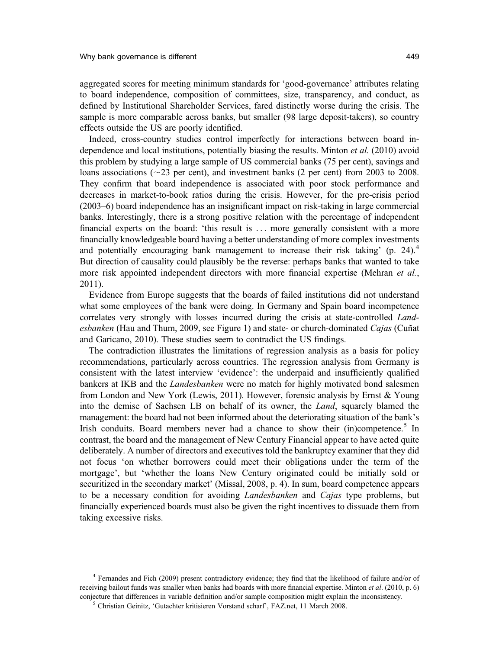aggregated scores for meeting minimum standards for 'good-governance' attributes relating to board independence, composition of committees, size, transparency, and conduct, as defined by Institutional Shareholder Services, fared distinctly worse during the crisis. The sample is more comparable across banks, but smaller (98 large deposit-takers), so country effects outside the US are poorly identified.

Indeed, cross-country studies control imperfectly for interactions between board independence and local institutions, potentially biasing the results. Minton *et al.* (2010) avoid this problem by studying a large sample of US commercial banks (75 per cent), savings and loans associations ( $\sim$ 23 per cent), and investment banks (2 per cent) from 2003 to 2008. They confirm that board independence is associated with poor stock performance and decreases in market-to-book ratios during the crisis. However, for the pre-crisis period (2003–6) board independence has an insignificant impact on risk-taking in large commercial banks. Interestingly, there is a strong positive relation with the percentage of independent financial experts on the board: 'this result is ... more generally consistent with a more financially knowledgeable board having a better understanding of more complex investments and potentially encouraging bank management to increase their risk taking' (p. 24).<sup>4</sup> But direction of causality could plausibly be the reverse: perhaps banks that wanted to take more risk appointed independent directors with more financial expertise (Mehran *et al.*, 2011).

Evidence from Europe suggests that the boards of failed institutions did not understand what some employees of the bank were doing. In Germany and Spain board incompetence correlates very strongly with losses incurred during the crisis at state-controlled Landesbanken (Hau and Thum, 2009, see Figure 1) and state- or church-dominated  $Cajas$  (Cunat and Garicano, 2010). These studies seem to contradict the US findings.

The contradiction illustrates the limitations of regression analysis as a basis for policy recommendations, particularly across countries. The regression analysis from Germany is consistent with the latest interview 'evidence': the underpaid and insufficiently qualified bankers at IKB and the Landesbanken were no match for highly motivated bond salesmen from London and New York (Lewis, 2011). However, forensic analysis by Ernst & Young into the demise of Sachsen LB on behalf of its owner, the Land, squarely blamed the management: the board had not been informed about the deteriorating situation of the bank's Irish conduits. Board members never had a chance to show their (in)competence.<sup>5</sup> In contrast, the board and the management of New Century Financial appear to have acted quite deliberately. A number of directors and executives told the bankruptcy examiner that they did not focus 'on whether borrowers could meet their obligations under the term of the mortgage', but 'whether the loans New Century originated could be initially sold or securitized in the secondary market' (Missal, 2008, p. 4). In sum, board competence appears to be a necessary condition for avoiding Landesbanken and Cajas type problems, but financially experienced boards must also be given the right incentives to dissuade them from taking excessive risks.

<sup>4</sup> Fernandes and Fich (2009) present contradictory evidence; they find that the likelihood of failure and/or of receiving bailout funds was smaller when banks had boards with more financial expertise. Minton et al. (2010, p. 6) conjecture that differences in variable definition and/or sample composition might explain the inconsistency. <sup>5</sup> Christian Geinitz, 'Gutachter kritisieren Vorstand scharf', [FAZ.net,](http://FAZ.net) 11 March 2008.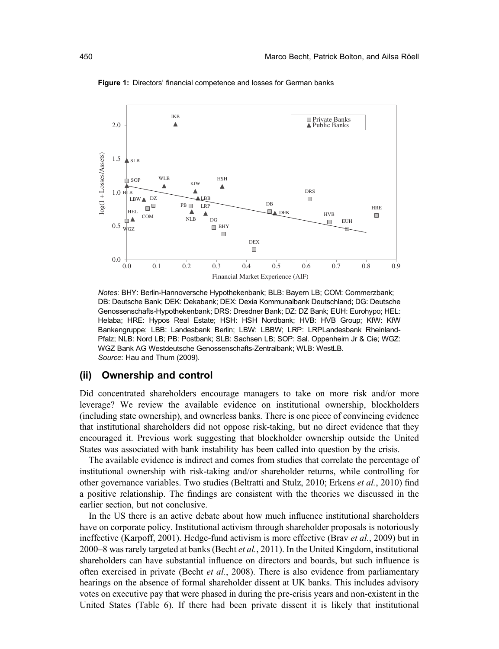

Figure 1: Directors' financial competence and losses for German banks

Notes: BHY: Berlin-Hannoversche Hypothekenbank; BLB: Bayern LB; COM: Commerzbank; DB: Deutsche Bank; DEK: Dekabank; DEX: Dexia Kommunalbank Deutschland; DG: Deutsche Genossenschafts-Hypothekenbank; DRS: Dresdner Bank; DZ: DZ Bank; EUH: Eurohypo; HEL: Helaba; HRE: Hypos Real Estate; HSH: HSH Nordbank; HVB: HVB Group; KfW: KfW Bankengruppe; LBB: Landesbank Berlin; LBW: LBBW; LRP: LRPLandesbank Rheinland-Pfalz; NLB: Nord LB; PB: Postbank; SLB: Sachsen LB; SOP: Sal. Oppenheim Jr & Cie; WGZ: WGZ Bank AG Westdeutsche Genossenschafts-Zentralbank; WLB: WestLB. Source: Hau and Thum (2009).

#### (ii) Ownership and control

Did concentrated shareholders encourage managers to take on more risk and/or more leverage? We review the available evidence on institutional ownership, blockholders (including state ownership), and ownerless banks. There is one piece of convincing evidence that institutional shareholders did not oppose risk-taking, but no direct evidence that they encouraged it. Previous work suggesting that blockholder ownership outside the United States was associated with bank instability has been called into question by the crisis.

The available evidence is indirect and comes from studies that correlate the percentage of institutional ownership with risk-taking and/or shareholder returns, while controlling for other governance variables. Two studies (Beltratti and Stulz, 2010; Erkens et al., 2010) find a positive relationship. The findings are consistent with the theories we discussed in the earlier section, but not conclusive.

In the US there is an active debate about how much influence institutional shareholders have on corporate policy. Institutional activism through shareholder proposals is notoriously ineffective (Karpoff, 2001). Hedge-fund activism is more effective (Brav et al., 2009) but in 2000–8 was rarely targeted at banks (Becht *et al.*, 2011). In the United Kingdom, institutional shareholders can have substantial influence on directors and boards, but such influence is often exercised in private (Becht et al., 2008). There is also evidence from parliamentary hearings on the absence of formal shareholder dissent at UK banks. This includes advisory votes on executive pay that were phased in during the pre-crisis years and non-existent in the United States (Table 6). If there had been private dissent it is likely that institutional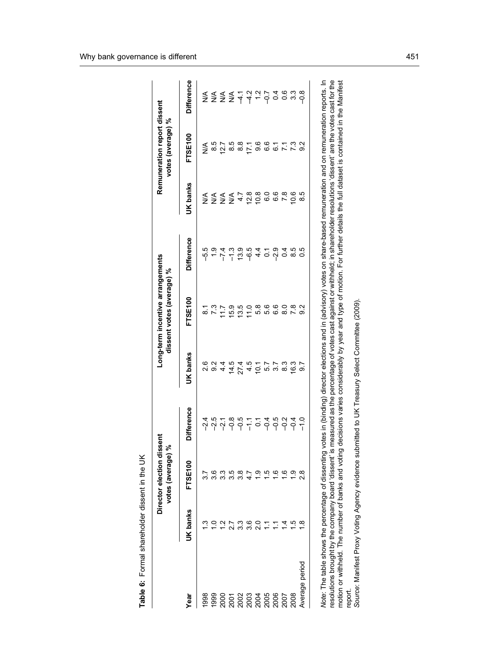|               | Direct          | or election dissent<br>tes (average) %<br>ğ |            |                          | Long-term incentive arrangements<br>dissent votes (average) % |                   |                                 | Remuneration report dissent<br>votes (average) %                                                                                                                                                                                                                                                                                                                                                                                                         |                   |
|---------------|-----------------|---------------------------------------------|------------|--------------------------|---------------------------------------------------------------|-------------------|---------------------------------|----------------------------------------------------------------------------------------------------------------------------------------------------------------------------------------------------------------------------------------------------------------------------------------------------------------------------------------------------------------------------------------------------------------------------------------------------------|-------------------|
| Tear          | <b>IK</b> banks | FTSE100                                     | Difference | UK banks                 | FTSE100                                                       | <b>Difference</b> | <b>UK</b> banks                 | FTSE100                                                                                                                                                                                                                                                                                                                                                                                                                                                  | <b>Difference</b> |
|               |                 |                                             |            |                          |                                                               |                   |                                 |                                                                                                                                                                                                                                                                                                                                                                                                                                                          |                   |
|               |                 |                                             |            | 294474053809204474053800 |                                                               |                   | <b>ΜΑΚΑΥΡ ΘΟΘ</b><br>ΚΚΚΚΥΡ ΘΟΘ | $\leq \frac{1}{2} \text{ or } \frac{1}{2} \text{ or } \frac{1}{2} \text{ or } \frac{1}{2} \text{ or } \frac{1}{2} \text{ or } \frac{1}{2} \text{ or } \frac{1}{2} \text{ or } \frac{1}{2} \text{ or } \frac{1}{2} \text{ or } \frac{1}{2} \text{ or } \frac{1}{2} \text{ or } \frac{1}{2} \text{ or } \frac{1}{2} \text{ or } \frac{1}{2} \text{ or } \frac{1}{2} \text{ or } \frac{1}{2} \text{ or } \frac{1}{2} \text{ or } \frac{1}{2} \text{ or } \$ |                   |
|               |                 |                                             |            |                          |                                                               |                   |                                 |                                                                                                                                                                                                                                                                                                                                                                                                                                                          |                   |
|               |                 |                                             |            |                          |                                                               |                   |                                 |                                                                                                                                                                                                                                                                                                                                                                                                                                                          |                   |
|               |                 |                                             |            |                          |                                                               |                   |                                 |                                                                                                                                                                                                                                                                                                                                                                                                                                                          |                   |
|               | n 60<br>n 60    |                                             |            |                          |                                                               |                   |                                 |                                                                                                                                                                                                                                                                                                                                                                                                                                                          |                   |
|               |                 | $4.79$<br>$-7.5$                            |            |                          |                                                               |                   |                                 |                                                                                                                                                                                                                                                                                                                                                                                                                                                          |                   |
|               |                 |                                             |            |                          |                                                               |                   |                                 |                                                                                                                                                                                                                                                                                                                                                                                                                                                          |                   |
|               |                 | $\frac{6}{1}$                               |            |                          |                                                               |                   |                                 |                                                                                                                                                                                                                                                                                                                                                                                                                                                          |                   |
|               |                 | $\frac{6}{1}$                               |            |                          | $\frac{8}{10}$                                                |                   |                                 |                                                                                                                                                                                                                                                                                                                                                                                                                                                          |                   |
|               |                 | $\overline{6}$                              |            |                          |                                                               |                   | 7.6<br>10.6                     |                                                                                                                                                                                                                                                                                                                                                                                                                                                          |                   |
| verage period |                 | $\frac{8}{2}$                               |            |                          | 7.8<br>9.2                                                    |                   | 8.5                             |                                                                                                                                                                                                                                                                                                                                                                                                                                                          |                   |
|               |                 |                                             |            |                          |                                                               |                   |                                 |                                                                                                                                                                                                                                                                                                                                                                                                                                                          |                   |
|               |                 |                                             |            |                          |                                                               |                   |                                 |                                                                                                                                                                                                                                                                                                                                                                                                                                                          |                   |

Table 6: Formal shareholder dissent in the UK Table 6: Formal shareholder dissent in the UK *Note:* The table shows the percentage of dissenting votes in (binding) director elections and in (advisory) votes on share-based remuneration and on remuneration reports. In<br>resolutions brought by the company board 'disse Note: The table shows the percentage of dissenting votes in (binding) director elections and in (advisory) votes on share-based remuneration and on remuneration reports. In resolutions brought by the company board 'dissent' is measured as the percentage of votes cast against or withheld; in shareholder resolutions 'dissent' are the votes cast for the motion or withheld. The number of banks and voting decisions varies considerably by year and type of motion. For further details the full dataset is contained in the Manifest report.<br>So*urce:* Manifest Proxy Voting Agency evidence submitted to UK Treasury Select Committee (2009).

Source: Manifest Proxy Voting Agency evidence submitted to UK Treasury Select Committee (2009).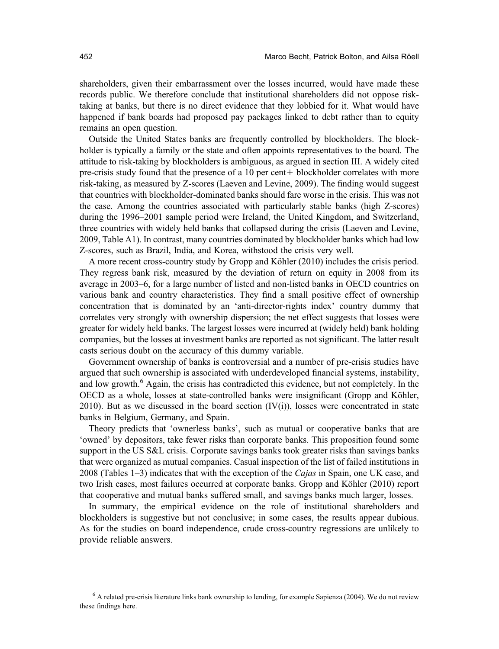shareholders, given their embarrassment over the losses incurred, would have made these records public. We therefore conclude that institutional shareholders did not oppose risktaking at banks, but there is no direct evidence that they lobbied for it. What would have happened if bank boards had proposed pay packages linked to debt rather than to equity remains an open question.

Outside the United States banks are frequently controlled by blockholders. The blockholder is typically a family or the state and often appoints representatives to the board. The attitude to risk-taking by blockholders is ambiguous, as argued in section III. A widely cited pre-crisis study found that the presence of a  $10$  per cent $+$  blockholder correlates with more risk-taking, as measured by Z-scores (Laeven and Levine, 2009). The finding would suggest that countries with blockholder-dominated banks should fare worse in the crisis. This was not the case. Among the countries associated with particularly stable banks (high Z-scores) during the 1996–2001 sample period were Ireland, the United Kingdom, and Switzerland, three countries with widely held banks that collapsed during the crisis (Laeven and Levine, 2009, Table A1). In contrast, many countries dominated by blockholder banks which had low Z-scores, such as Brazil, India, and Korea, withstood the crisis very well.

A more recent cross-country study by Gropp and Köhler  $(2010)$  includes the crisis period. They regress bank risk, measured by the deviation of return on equity in 2008 from its average in 2003–6, for a large number of listed and non-listed banks in OECD countries on various bank and country characteristics. They find a small positive effect of ownership concentration that is dominated by an 'anti-director-rights index' country dummy that correlates very strongly with ownership dispersion; the net effect suggests that losses were greater for widely held banks. The largest losses were incurred at (widely held) bank holding companies, but the losses at investment banks are reported as not significant. The latter result casts serious doubt on the accuracy of this dummy variable.

Government ownership of banks is controversial and a number of pre-crisis studies have argued that such ownership is associated with underdeveloped financial systems, instability, and low growth.<sup>6</sup> Again, the crisis has contradicted this evidence, but not completely. In the OECD as a whole, losses at state-controlled banks were insignificant (Gropp and Köhler,  $2010$ ). But as we discussed in the board section  $(IV(i))$ , losses were concentrated in state banks in Belgium, Germany, and Spain.

Theory predicts that 'ownerless banks', such as mutual or cooperative banks that are 'owned' by depositors, take fewer risks than corporate banks. This proposition found some support in the US S&L crisis. Corporate savings banks took greater risks than savings banks that were organized as mutual companies. Casual inspection of the list of failed institutions in 2008 (Tables 1–3) indicates that with the exception of the Cajas in Spain, one UK case, and two Irish cases, most failures occurred at corporate banks. Gropp and Köhler (2010) report that cooperative and mutual banks suffered small, and savings banks much larger, losses.

In summary, the empirical evidence on the role of institutional shareholders and blockholders is suggestive but not conclusive; in some cases, the results appear dubious. As for the studies on board independence, crude cross-country regressions are unlikely to provide reliable answers.

<sup>&</sup>lt;sup>6</sup> A related pre-crisis literature links bank ownership to lending, for example Sapienza (2004). We do not review these findings here.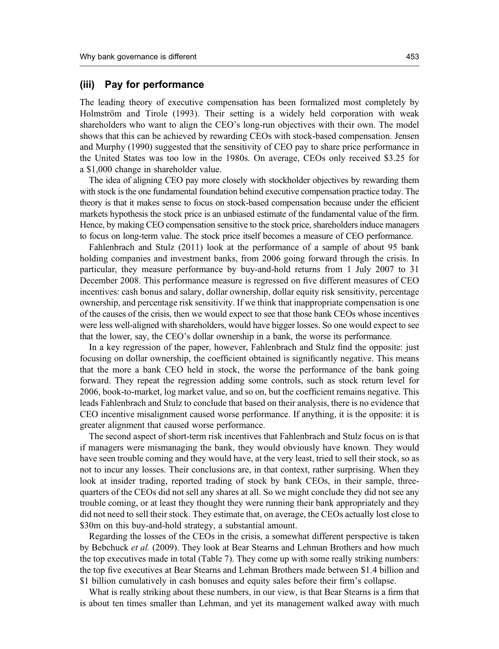#### (iii) Pay for performance

The leading theory of executive compensation has been formalized most completely by Holmström and Tirole (1993). Their setting is a widely held corporation with weak shareholders who want to align the CEO's long-run objectives with their own. The model shows that this can be achieved by rewarding CEOs with stock-based compensation. Jensen and Murphy (1990) suggested that the sensitivity of CEO pay to share price performance in the United States was too low in the 1980s. On average, CEOs only received \$3.25 for a \$1,000 change in shareholder value.

The idea of aligning CEO pay more closely with stockholder objectives by rewarding them with stock is the one fundamental foundation behind executive compensation practice today. The theory is that it makes sense to focus on stock-based compensation because under the efficient markets hypothesis the stock price is an unbiased estimate of the fundamental value of the firm. Hence, by making CEO compensation sensitive to the stock price, shareholders induce managers to focus on long-term value. The stock price itself becomes a measure of CEO performance.

Fahlenbrach and Stulz (2011) look at the performance of a sample of about 95 bank holding companies and investment banks, from 2006 going forward through the crisis. In particular, they measure performance by buy-and-hold returns from 1 July 2007 to 31 December 2008. This performance measure is regressed on five different measures of CEO incentives: cash bonus and salary, dollar ownership, dollar equity risk sensitivity, percentage ownership, and percentage risk sensitivity. If we think that inappropriate compensation is one of the causes of the crisis, then we would expect to see that those bank CEOs whose incentives were less well-aligned with shareholders, would have bigger losses. So one would expect to see that the lower, say, the CEO's dollar ownership in a bank, the worse its performance.

In a key regression of the paper, however, Fahlenbrach and Stulz find the opposite: just focusing on dollar ownership, the coefficient obtained is significantly negative. This means that the more a bank CEO held in stock, the worse the performance of the bank going forward. They repeat the regression adding some controls, such as stock return level for 2006, book-to-market, log market value, and so on, but the coefficient remains negative. This leads Fahlenbrach and Stulz to conclude that based on their analysis, there is no evidence that CEO incentive misalignment caused worse performance. If anything, it is the opposite: it is greater alignment that caused worse performance.

The second aspect of short-term risk incentives that Fahlenbrach and Stulz focus on is that if managers were mismanaging the bank, they would obviously have known. They would have seen trouble coming and they would have, at the very least, tried to sell their stock, so as not to incur any losses. Their conclusions are, in that context, rather surprising. When they look at insider trading, reported trading of stock by bank CEOs, in their sample, threequarters of the CEOs did not sell any shares at all. So we might conclude they did not see any trouble coming, or at least they thought they were running their bank appropriately and they did not need to sell their stock. They estimate that, on average, the CEOs actually lost close to \$30m on this buy-and-hold strategy, a substantial amount.

Regarding the losses of the CEOs in the crisis, a somewhat different perspective is taken by Bebchuck et al. (2009). They look at Bear Stearns and Lehman Brothers and how much the top executives made in total (Table 7). They come up with some really striking numbers: the top five executives at Bear Stearns and Lehman Brothers made between \$1.4 billion and \$1 billion cumulatively in cash bonuses and equity sales before their firm's collapse.

What is really striking about these numbers, in our view, is that Bear Stearns is a firm that is about ten times smaller than Lehman, and yet its management walked away with much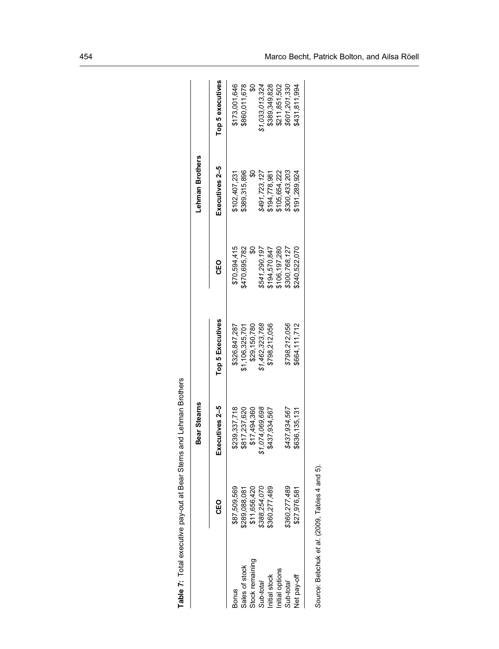|                                                                                            |                                                                                                                        | Bear Stearns   |                  |               | Lehman Brothers |                  |
|--------------------------------------------------------------------------------------------|------------------------------------------------------------------------------------------------------------------------|----------------|------------------|---------------|-----------------|------------------|
|                                                                                            | ය<br>ප                                                                                                                 | Executives 2-5 | Top 5 Executives | CEO           | Executives 2-5  | Top 5 executives |
| <b>Sonus</b>                                                                               |                                                                                                                        | \$239,337,718  | \$326,847,287    | \$70,594,415  | 102,407,231     | \$173,001,646    |
|                                                                                            | $\begin{array}{c} $87,509,569\\ $289,088,081\\ $11,656,420\\ $349,254,070\\ $388,254,070\\ $360,277,489\\ \end{array}$ | \$817,237,620  | \$1,106,325,701  | 6470,695,782  | 389,315,896     | \$860,011,678    |
|                                                                                            |                                                                                                                        | \$17,494,360   | \$29,150,780     |               |                 |                  |
|                                                                                            |                                                                                                                        | 1,074,069,698  | \$1,462,323,768  | \$541,290,197 | \$491,723,127   | 1,033,013,324    |
|                                                                                            |                                                                                                                        | \$437,934,567  | \$798,212,056    | \$194,570,847 | 194,778,981     | \$389,349,828    |
| Sales of stock<br>Stock remaining<br>S <i>ub-total</i><br>Initial stock<br>Initial options |                                                                                                                        |                |                  | \$106,197,280 | 105,654,222     | \$211,851,502    |
| Sub-total                                                                                  | \$360,277,489                                                                                                          | \$437,934,567  | \$798,212,056    | \$300,768,127 | \$300,433,203   | \$601,201,330    |
| let pay-off                                                                                | \$27,976,581                                                                                                           | \$636,135,131  | \$664,111,712    | \$240,522,070 | \$191,289,924   | \$431,811,994    |

Table 7: Total executive pay-out at Bear Sterns and Lehman Brothers Table 7: Total executive pay-out at Bear Sterns and Lehman Brothers

Source: Bebchuk et al. (2009, Tables 4 and 5). Source: Bebchuk et al. (2009, Tables 4 and 5).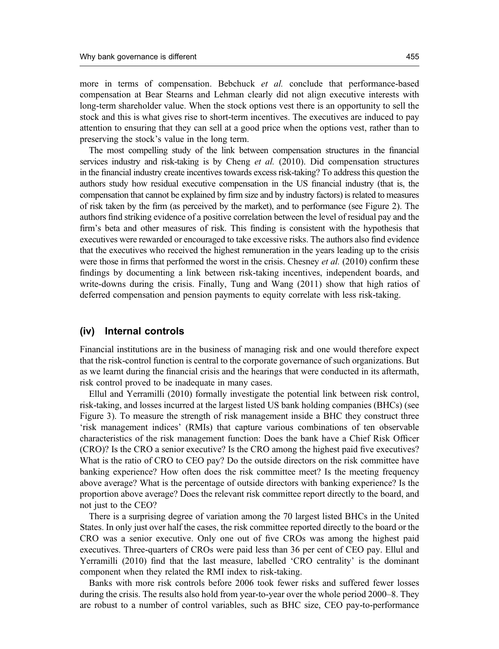more in terms of compensation. Bebchuck *et al.* conclude that performance-based compensation at Bear Stearns and Lehman clearly did not align executive interests with long-term shareholder value. When the stock options vest there is an opportunity to sell the stock and this is what gives rise to short-term incentives. The executives are induced to pay attention to ensuring that they can sell at a good price when the options vest, rather than to preserving the stock's value in the long term.

The most compelling study of the link between compensation structures in the financial services industry and risk-taking is by Cheng *et al.* (2010). Did compensation structures in the financial industry create incentives towards excess risk-taking? To address this question the authors study how residual executive compensation in the US financial industry (that is, the compensation that cannot be explained by firm size and by industry factors) is related to measures of risk taken by the firm (as perceived by the market), and to performance (see Figure 2). The authors find striking evidence of a positive correlation between the level of residual pay and the firm's beta and other measures of risk. This finding is consistent with the hypothesis that executives were rewarded or encouraged to take excessive risks. The authors also find evidence that the executives who received the highest remuneration in the years leading up to the crisis were those in firms that performed the worst in the crisis. Chesney *et al.* (2010) confirm these findings by documenting a link between risk-taking incentives, independent boards, and write-downs during the crisis. Finally, Tung and Wang (2011) show that high ratios of deferred compensation and pension payments to equity correlate with less risk-taking.

#### (iv) Internal controls

Financial institutions are in the business of managing risk and one would therefore expect that the risk-control function is central to the corporate governance of such organizations. But as we learnt during the financial crisis and the hearings that were conducted in its aftermath, risk control proved to be inadequate in many cases.

Ellul and Yerramilli (2010) formally investigate the potential link between risk control, risk-taking, and losses incurred at the largest listed US bank holding companies (BHCs) (see Figure 3). To measure the strength of risk management inside a BHC they construct three 'risk management indices' (RMIs) that capture various combinations of ten observable characteristics of the risk management function: Does the bank have a Chief Risk Officer (CRO)? Is the CRO a senior executive? Is the CRO among the highest paid five executives? What is the ratio of CRO to CEO pay? Do the outside directors on the risk committee have banking experience? How often does the risk committee meet? Is the meeting frequency above average? What is the percentage of outside directors with banking experience? Is the proportion above average? Does the relevant risk committee report directly to the board, and not just to the CEO?

There is a surprising degree of variation among the 70 largest listed BHCs in the United States. In only just over half the cases, the risk committee reported directly to the board or the CRO was a senior executive. Only one out of five CROs was among the highest paid executives. Three-quarters of CROs were paid less than 36 per cent of CEO pay. Ellul and Yerramilli (2010) find that the last measure, labelled 'CRO centrality' is the dominant component when they related the RMI index to risk-taking.

Banks with more risk controls before 2006 took fewer risks and suffered fewer losses during the crisis. The results also hold from year-to-year over the whole period 2000–8. They are robust to a number of control variables, such as BHC size, CEO pay-to-performance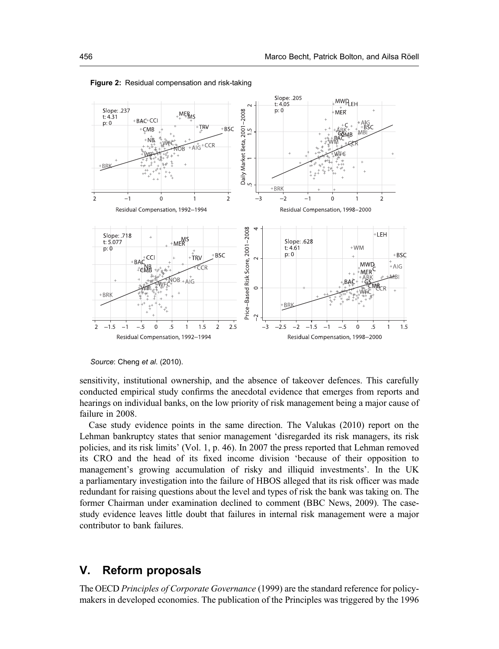

Figure 2: Residual compensation and risk-taking

sensitivity, institutional ownership, and the absence of takeover defences. This carefully conducted empirical study confirms the anecdotal evidence that emerges from reports and hearings on individual banks, on the low priority of risk management being a major cause of failure in 2008.

Case study evidence points in the same direction. The Valukas (2010) report on the Lehman bankruptcy states that senior management 'disregarded its risk managers, its risk policies, and its risk limits' (Vol. 1, p. 46). In 2007 the press reported that Lehman removed its CRO and the head of its fixed income division 'because of their opposition to management's growing accumulation of risky and illiquid investments'. In the UK a parliamentary investigation into the failure of HBOS alleged that its risk officer was made redundant for raising questions about the level and types of risk the bank was taking on. The former Chairman under examination declined to comment (BBC News, 2009). The casestudy evidence leaves little doubt that failures in internal risk management were a major contributor to bank failures.

# V. Reform proposals

The OECD Principles of Corporate Governance (1999) are the standard reference for policymakers in developed economies. The publication of the Principles was triggered by the 1996

Source: Cheng et al. (2010).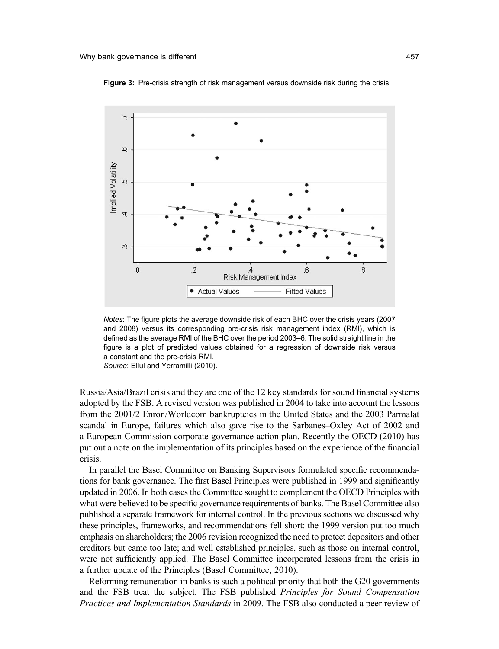

Figure 3: Pre-crisis strength of risk management versus downside risk during the crisis

Notes: The figure plots the average downside risk of each BHC over the crisis years (2007 and 2008) versus its corresponding pre-crisis risk management index (RMI), which is defined as the average RMI of the BHC over the period 2003–6. The solid straight line in the figure is a plot of predicted values obtained for a regression of downside risk versus a constant and the pre-crisis RMI.

Source: Ellul and Yerramilli (2010).

Russia/Asia/Brazil crisis and they are one of the 12 key standards for sound financial systems adopted by the FSB. A revised version was published in 2004 to take into account the lessons from the 2001/2 Enron/Worldcom bankruptcies in the United States and the 2003 Parmalat scandal in Europe, failures which also gave rise to the Sarbanes–Oxley Act of 2002 and a European Commission corporate governance action plan. Recently the OECD (2010) has put out a note on the implementation of its principles based on the experience of the financial crisis.

In parallel the Basel Committee on Banking Supervisors formulated specific recommendations for bank governance. The first Basel Principles were published in 1999 and significantly updated in 2006. In both cases the Committee sought to complement the OECD Principles with what were believed to be specific governance requirements of banks. The Basel Committee also published a separate framework for internal control. In the previous sections we discussed why these principles, frameworks, and recommendations fell short: the 1999 version put too much emphasis on shareholders; the 2006 revision recognized the need to protect depositors and other creditors but came too late; and well established principles, such as those on internal control, were not sufficiently applied. The Basel Committee incorporated lessons from the crisis in a further update of the Principles (Basel Committee, 2010).

Reforming remuneration in banks is such a political priority that both the G20 governments and the FSB treat the subject. The FSB published Principles for Sound Compensation Practices and Implementation Standards in 2009. The FSB also conducted a peer review of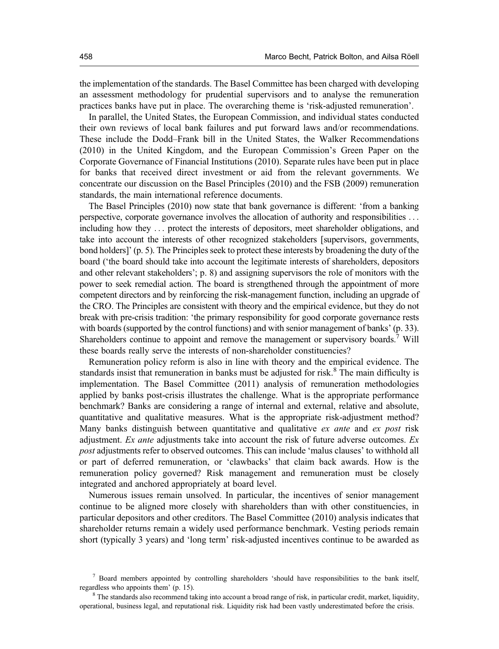the implementation of the standards. The Basel Committee has been charged with developing an assessment methodology for prudential supervisors and to analyse the remuneration practices banks have put in place. The overarching theme is 'risk-adjusted remuneration'.

In parallel, the United States, the European Commission, and individual states conducted their own reviews of local bank failures and put forward laws and/or recommendations. These include the Dodd–Frank bill in the United States, the Walker Recommendations (2010) in the United Kingdom, and the European Commission's Green Paper on the Corporate Governance of Financial Institutions (2010). Separate rules have been put in place for banks that received direct investment or aid from the relevant governments. We concentrate our discussion on the Basel Principles (2010) and the FSB (2009) remuneration standards, the main international reference documents.

The Basel Principles (2010) now state that bank governance is different: 'from a banking perspective, corporate governance involves the allocation of authority and responsibilities ... including how they ... protect the interests of depositors, meet shareholder obligations, and take into account the interests of other recognized stakeholders [supervisors, governments, bond holders]' (p. 5). The Principles seek to protect these interests by broadening the duty of the board ('the board should take into account the legitimate interests of shareholders, depositors and other relevant stakeholders'; p. 8) and assigning supervisors the role of monitors with the power to seek remedial action. The board is strengthened through the appointment of more competent directors and by reinforcing the risk-management function, including an upgrade of the CRO. The Principles are consistent with theory and the empirical evidence, but they do not break with pre-crisis tradition: 'the primary responsibility for good corporate governance rests with boards (supported by the control functions) and with senior management of banks' (p. 33). Shareholders continue to appoint and remove the management or supervisory boards.<sup>7</sup> Will these boards really serve the interests of non-shareholder constituencies?

Remuneration policy reform is also in line with theory and the empirical evidence. The standards insist that remuneration in banks must be adjusted for risk.<sup>8</sup> The main difficulty is implementation. The Basel Committee (2011) analysis of remuneration methodologies applied by banks post-crisis illustrates the challenge. What is the appropriate performance benchmark? Banks are considering a range of internal and external, relative and absolute, quantitative and qualitative measures. What is the appropriate risk-adjustment method? Many banks distinguish between quantitative and qualitative ex ante and ex post risk adjustment. Ex ante adjustments take into account the risk of future adverse outcomes. Ex post adjustments refer to observed outcomes. This can include 'malus clauses' to withhold all or part of deferred remuneration, or 'clawbacks' that claim back awards. How is the remuneration policy governed? Risk management and remuneration must be closely integrated and anchored appropriately at board level.

Numerous issues remain unsolved. In particular, the incentives of senior management continue to be aligned more closely with shareholders than with other constituencies, in particular depositors and other creditors. The Basel Committee (2010) analysis indicates that shareholder returns remain a widely used performance benchmark. Vesting periods remain short (typically 3 years) and 'long term' risk-adjusted incentives continue to be awarded as

<sup>7</sup> Board members appointed by controlling shareholders 'should have responsibilities to the bank itself, regardless who appoints them' (p. 15).<br><sup>8</sup> The standards also recommend taking into account a broad range of risk, in particular credit, market, liquidity,

operational, business legal, and reputational risk. Liquidity risk had been vastly underestimated before the crisis.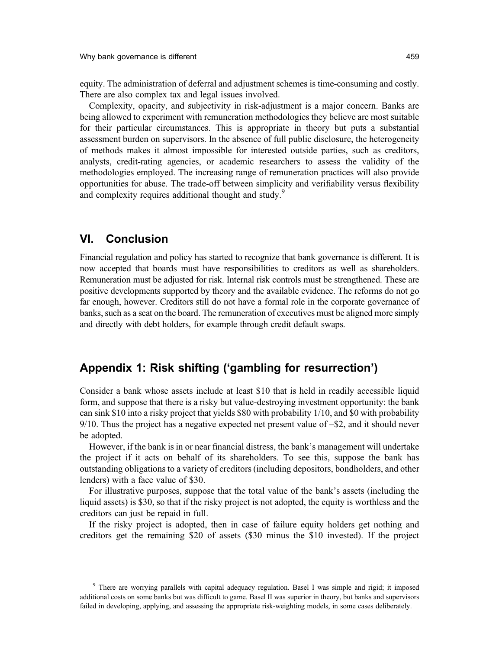equity. The administration of deferral and adjustment schemes is time-consuming and costly. There are also complex tax and legal issues involved.

Complexity, opacity, and subjectivity in risk-adjustment is a major concern. Banks are being allowed to experiment with remuneration methodologies they believe are most suitable for their particular circumstances. This is appropriate in theory but puts a substantial assessment burden on supervisors. In the absence of full public disclosure, the heterogeneity of methods makes it almost impossible for interested outside parties, such as creditors, analysts, credit-rating agencies, or academic researchers to assess the validity of the methodologies employed. The increasing range of remuneration practices will also provide opportunities for abuse. The trade-off between simplicity and verifiability versus flexibility and complexity requires additional thought and study.<sup>9</sup>

# VI. Conclusion

Financial regulation and policy has started to recognize that bank governance is different. It is now accepted that boards must have responsibilities to creditors as well as shareholders. Remuneration must be adjusted for risk. Internal risk controls must be strengthened. These are positive developments supported by theory and the available evidence. The reforms do not go far enough, however. Creditors still do not have a formal role in the corporate governance of banks, such as a seat on the board. The remuneration of executives must be aligned more simply and directly with debt holders, for example through credit default swaps.

# Appendix 1: Risk shifting ('gambling for resurrection')

Consider a bank whose assets include at least \$10 that is held in readily accessible liquid form, and suppose that there is a risky but value-destroying investment opportunity: the bank can sink \$10 into a risky project that yields \$80 with probability 1/10, and \$0 with probability  $9/10$ . Thus the project has a negative expected net present value of  $-$ \$2, and it should never be adopted.

However, if the bank is in or near financial distress, the bank's management will undertake the project if it acts on behalf of its shareholders. To see this, suppose the bank has outstanding obligations to a variety of creditors (including depositors, bondholders, and other lenders) with a face value of \$30.

For illustrative purposes, suppose that the total value of the bank's assets (including the liquid assets) is \$30, so that if the risky project is not adopted, the equity is worthless and the creditors can just be repaid in full.

If the risky project is adopted, then in case of failure equity holders get nothing and creditors get the remaining \$20 of assets (\$30 minus the \$10 invested). If the project

<sup>9</sup> There are worrying parallels with capital adequacy regulation. Basel I was simple and rigid; it imposed additional costs on some banks but was difficult to game. Basel II was superior in theory, but banks and supervisors failed in developing, applying, and assessing the appropriate risk-weighting models, in some cases deliberately.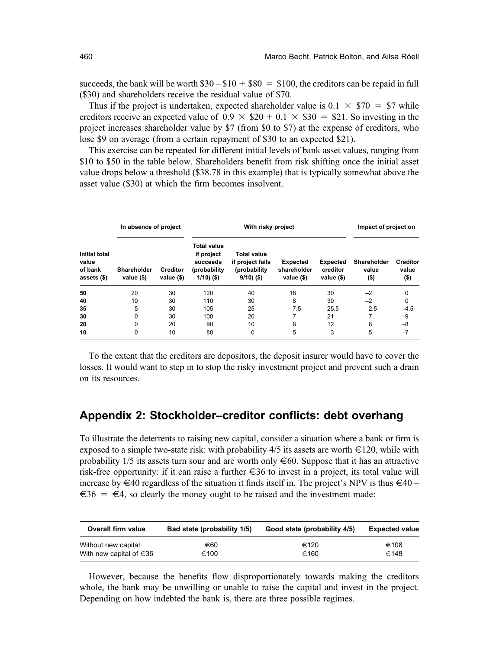succeeds, the bank will be worth  $\$30 - \$10 + \$80 = \$100$ , the creditors can be repaid in full (\$30) and shareholders receive the residual value of \$70.

Thus if the project is undertaken, expected shareholder value is  $0.1 \times $70 = $7$  while creditors receive an expected value of  $0.9 \times $20 + 0.1 \times $30 = $21$ . So investing in the project increases shareholder value by \$7 (from \$0 to \$7) at the expense of creditors, who lose \$9 on average (from a certain repayment of \$30 to an expected \$21).

This exercise can be repeated for different initial levels of bank asset values, ranging from \$10 to \$50 in the table below. Shareholders benefit from risk shifting once the initial asset value drops below a threshold (\$38.78 in this example) that is typically somewhat above the asset value (\$30) at which the firm becomes insolvent.

|                                                  | In absence of project       |                               | With risky project<br>Impact of project on                                    |                                                                        |                                                |                                           |                                 |                              |
|--------------------------------------------------|-----------------------------|-------------------------------|-------------------------------------------------------------------------------|------------------------------------------------------------------------|------------------------------------------------|-------------------------------------------|---------------------------------|------------------------------|
| Initial total<br>value<br>of bank<br>assets (\$) | Shareholder<br>value $(\$ ) | <b>Creditor</b><br>value (\$) | <b>Total value</b><br>if project<br>succeeds<br>(probability<br>$1/10$ ) (\$) | <b>Total value</b><br>if project fails<br>(probability<br>$9/10)$ (\$) | <b>Expected</b><br>shareholder<br>value $(\$ ) | <b>Expected</b><br>creditor<br>value (\$) | Shareholder<br>value<br>$($ \$) | Creditor<br>value<br>$($ \$) |
| 50                                               | 20                          | 30                            | 120                                                                           | 40                                                                     | 18                                             | 30                                        | $-2$                            | 0                            |
| 40                                               | 10                          | 30                            | 110                                                                           | 30                                                                     | 8                                              | 30                                        | $-2$                            | 0                            |
| 35                                               | 5                           | 30                            | 105                                                                           | 25                                                                     | 7.5                                            | 25.5                                      | 2.5                             | $-4.5$                       |
| 30                                               | $\Omega$                    | 30                            | 100                                                                           | 20                                                                     |                                                | 21                                        | 7                               | $-9$                         |
| 20                                               | 0                           | 20                            | 90                                                                            | 10                                                                     | 6                                              | 12                                        | 6                               | $-8$                         |
| 10                                               | 0                           | 10                            | 80                                                                            | 0                                                                      | 5                                              | 3                                         | 5                               | $-7$                         |

To the extent that the creditors are depositors, the deposit insurer would have to cover the losses. It would want to step in to stop the risky investment project and prevent such a drain on its resources.

# Appendix 2: Stockholder–creditor conflicts: debt overhang

To illustrate the deterrents to raising new capital, consider a situation where a bank or firm is exposed to a simple two-state risk: with probability 4/5 its assets are worth  $\epsilon$ 120, while with probability  $1/5$  its assets turn sour and are worth only  $\epsilon$ 60. Suppose that it has an attractive risk-free opportunity: if it can raise a further  $\epsilon$ 36 to invest in a project, its total value will increase by  $\in$  40 regardless of the situation it finds itself in. The project's NPV is thus  $\in$  40 –  $\epsilon$ 36 =  $\epsilon$ 4, so clearly the money ought to be raised and the investment made:

| Overall firm value           | Bad state (probability 1/5) | Good state (probability 4/5) | <b>Expected value</b> |
|------------------------------|-----------------------------|------------------------------|-----------------------|
| Without new capital          | €60                         | €120                         | ∈108                  |
| With new capital of $\in$ 36 | €100                        | €160                         | €148                  |

However, because the benefits flow disproportionately towards making the creditors whole, the bank may be unwilling or unable to raise the capital and invest in the project. Depending on how indebted the bank is, there are three possible regimes.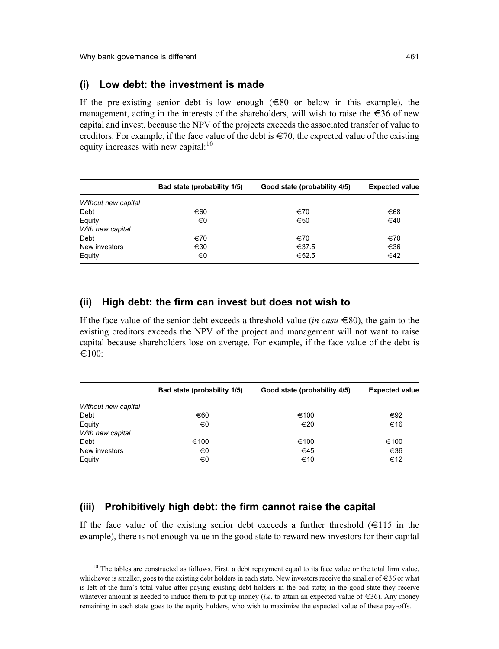### (i) Low debt: the investment is made

If the pre-existing senior debt is low enough  $(\epsilon \otimes 80)$  or below in this example), the management, acting in the interests of the shareholders, will wish to raise the  $\epsilon$ 36 of new capital and invest, because the NPV of the projects exceeds the associated transfer of value to creditors. For example, if the face value of the debt is  $\epsilon$ 70, the expected value of the existing equity increases with new capital:<sup>10</sup>

|                     | Bad state (probability 1/5) | Good state (probability 4/5) | <b>Expected value</b> |
|---------------------|-----------------------------|------------------------------|-----------------------|
| Without new capital |                             |                              |                       |
| Debt                | €60                         | $\epsilon$ 70                | €68                   |
| Equity              | €0                          | $\epsilon$ 50                | $\epsilon$ 40         |
| With new capital    |                             |                              |                       |
| Debt                | €70                         | €70                          | €70                   |
| New investors       | $\epsilon$ 30               | €37.5                        | €36                   |
| Equity              | €0                          | €52.5                        | €42                   |

### (ii) High debt: the firm can invest but does not wish to

If the face value of the senior debt exceeds a threshold value (in casu  $\in$ 80), the gain to the existing creditors exceeds the NPV of the project and management will not want to raise capital because shareholders lose on average. For example, if the face value of the debt is  $\in 100$ :

|                     | Bad state (probability 1/5) | Good state (probability 4/5) | <b>Expected value</b> |
|---------------------|-----------------------------|------------------------------|-----------------------|
| Without new capital |                             |                              |                       |
| Debt                | €60                         | €100                         | €92                   |
| Equity              | €0                          | $\epsilon$ 20                | €16                   |
| With new capital    |                             |                              |                       |
| Debt                | ∈100                        | €100                         | €100                  |
| New investors       | €0                          | $\epsilon$ 45                | €36                   |
| Equity              | €0                          | €10                          | ∈12                   |

### (iii) Prohibitively high debt: the firm cannot raise the capital

If the face value of the existing senior debt exceeds a further threshold  $\in$ 115 in the example), there is not enough value in the good state to reward new investors for their capital

 $10$  The tables are constructed as follows. First, a debt repayment equal to its face value or the total firm value, whichever is smaller, goes to the existing debt holders in each state. New investors receive the smaller of  $\epsilon$ 36 or what is left of the firm's total value after paying existing debt holders in the bad state; in the good state they receive whatever amount is needed to induce them to put up money (*i.e.* to attain an expected value of  $\in \mathfrak{36}$ ). Any money remaining in each state goes to the equity holders, who wish to maximize the expected value of these pay-offs.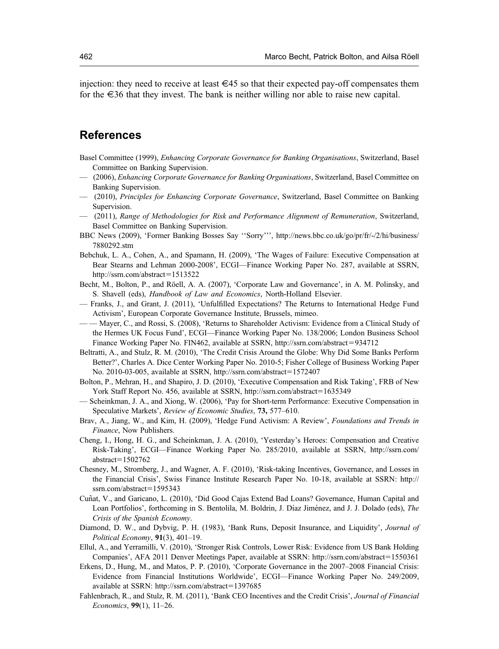injection: they need to receive at least  $\in$ 45 so that their expected pay-off compensates them for the  $\epsilon$ 36 that they invest. The bank is neither willing nor able to raise new capital.

# References

- Basel Committee (1999), Enhancing Corporate Governance for Banking Organisations, Switzerland, Basel Committee on Banking Supervision.
- (2006), Enhancing Corporate Governance for Banking Organisations, Switzerland, Basel Committee on Banking Supervision.
- (2010), Principles for Enhancing Corporate Governance, Switzerland, Basel Committee on Banking Supervision.
- (2011), Range of Methodologies for Risk and Performance Alignment of Remuneration, Switzerland, Basel Committee on Banking Supervision.
- BBC News (2009), 'Former Banking Bosses Say ''Sorry''', [http://news.bbc.co.uk/go/pr/fr/-/2/hi/business/](http://news.bbc.co.uk/go/pr/fr/-/2/hi/business/7880292.stm) [7880292.stm](http://news.bbc.co.uk/go/pr/fr/-/2/hi/business/7880292.stm)
- Bebchuk, L. A., Cohen, A., and Spamann, H. (2009), 'The Wages of Failure: Executive Compensation at Bear Stearns and Lehman 2000-2008', ECGI—Finance Working Paper No. 287, available at SSRN, [http://ssrn.com/abstract](http://ssrn.com/abstract=1513522)=[1513522](http://ssrn.com/abstract=1513522)
- Becht, M., Bolton, P., and Röell, A. A. (2007), 'Corporate Law and Governance', in A. M. Polinsky, and S. Shavell (eds), Handbook of Law and Economics, North-Holland Elsevier.
- Franks, J., and Grant, J. (2011), 'Unfulfilled Expectations? The Returns to International Hedge Fund Activism', European Corporate Governance Institute, Brussels, mimeo.
- — Mayer, C., and Rossi, S. (2008), 'Returns to Shareholder Activism: Evidence from a Clinical Study of the Hermes UK Focus Fund', ECGI—Finance Working Paper No. 138/2006; London Business School Finance Working Paper No. FIN462, available at SSRN, [http://ssrn.com/abstract](http://ssrn.com/abstract=934712)=[934712](http://ssrn.com/abstract=934712)
- Beltratti, A., and Stulz, R. M. (2010), 'The Credit Crisis Around the Globe: Why Did Some Banks Perform Better?', Charles A. Dice Center Working Paper No. 2010-5; Fisher College of Business Working Paper No. 2010-03-005, available at SSRN, [http://ssrn.com/abstract](http://ssrn.com/abstract=1572407)=[1572407](http://ssrn.com/abstract=1572407)
- Bolton, P., Mehran, H., and Shapiro, J. D. (2010), 'Executive Compensation and Risk Taking', FRB of New York Staff Report No. 456, available at SSRN, [http://ssrn.com/abstract](http://ssrn.com/abstract=1635349)=[1635349](http://ssrn.com/abstract=1635349)
- Scheinkman, J. A., and Xiong, W. (2006), 'Pay for Short-term Performance: Executive Compensation in Speculative Markets', Review of Economic Studies, 73, 577–610.
- Brav, A., Jiang, W., and Kim, H. (2009), 'Hedge Fund Activism: A Review', Foundations and Trends in Finance, Now Publishers.
- Cheng, I., Hong, H. G., and Scheinkman, J. A. (2010), 'Yesterday's Heroes: Compensation and Creative Risk-Taking', ECGI—Finance Working Paper No. 285/2010, available at SSRN, [http://ssrn.com/](http://ssrn.com/abstract=1502762)  $abstraction=1502762$  $abstraction=1502762$  $abstraction=1502762$
- Chesney, M., Stromberg, J., and Wagner, A. F. (2010), 'Risk-taking Incentives, Governance, and Losses in the Financial Crisis', Swiss Finance Institute Research Paper No. 10-18, available at SSRN: [http://](http://ssrn.com/abstract=1595343) [ssrn.com/abstract](http://ssrn.com/abstract=1595343)=[1595343](http://ssrn.com/abstract=1595343)
- Cun˜at, V., and Garicano, L. (2010), 'Did Good Cajas Extend Bad Loans? Governance, Human Capital and Loan Portfolios', forthcoming in S. Bentolila, M. Boldrin, J. Díaz Jiménez, and J. J. Dolado (eds), The Crisis of the Spanish Economy.
- Diamond, D. W., and Dybvig, P. H. (1983), 'Bank Runs, Deposit Insurance, and Liquidity', Journal of Political Economy, 91(3), 401–19.
- Ellul, A., and Yerramilli, V. (2010), 'Stronger Risk Controls, Lower Risk: Evidence from US Bank Holding Companies', AFA 2011 Denver Meetings Paper, available at SSRN: [http://ssrn.com/abstract](http://ssrn.com/abstract=1550361)=[1550361](http://ssrn.com/abstract=1550361)
- Erkens, D., Hung, M., and Matos, P. P. (2010), 'Corporate Governance in the 2007–2008 Financial Crisis: Evidence from Financial Institutions Worldwide', ECGI—Finance Working Paper No. 249/2009, available at SSRN: [http://ssrn.com/abstract](http://ssrn.com/abstract=1397685)=[1397685](http://ssrn.com/abstract=1397685)
- Fahlenbrach, R., and Stulz, R. M. (2011), 'Bank CEO Incentives and the Credit Crisis', Journal of Financial Economics, 99(1), 11–26.